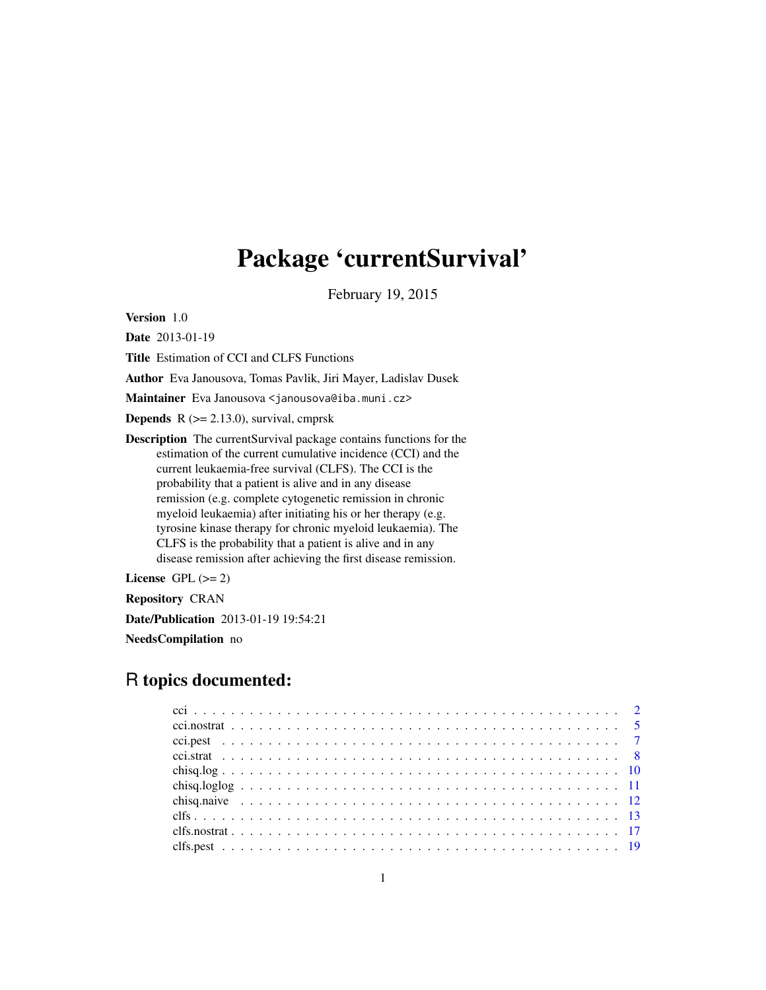# Package 'currentSurvival'

February 19, 2015

Version 1.0

Date 2013-01-19

Title Estimation of CCI and CLFS Functions

Author Eva Janousova, Tomas Pavlik, Jiri Mayer, Ladislav Dusek

Maintainer Eva Janousova <janousova@iba.muni.cz>

**Depends**  $R$  ( $>= 2.13.0$ ), survival, cmprsk

Description The currentSurvival package contains functions for the estimation of the current cumulative incidence (CCI) and the current leukaemia-free survival (CLFS). The CCI is the probability that a patient is alive and in any disease remission (e.g. complete cytogenetic remission in chronic myeloid leukaemia) after initiating his or her therapy (e.g. tyrosine kinase therapy for chronic myeloid leukaemia). The CLFS is the probability that a patient is alive and in any disease remission after achieving the first disease remission.

License GPL  $(>= 2)$ 

Repository CRAN

Date/Publication 2013-01-19 19:54:21

NeedsCompilation no

# R topics documented: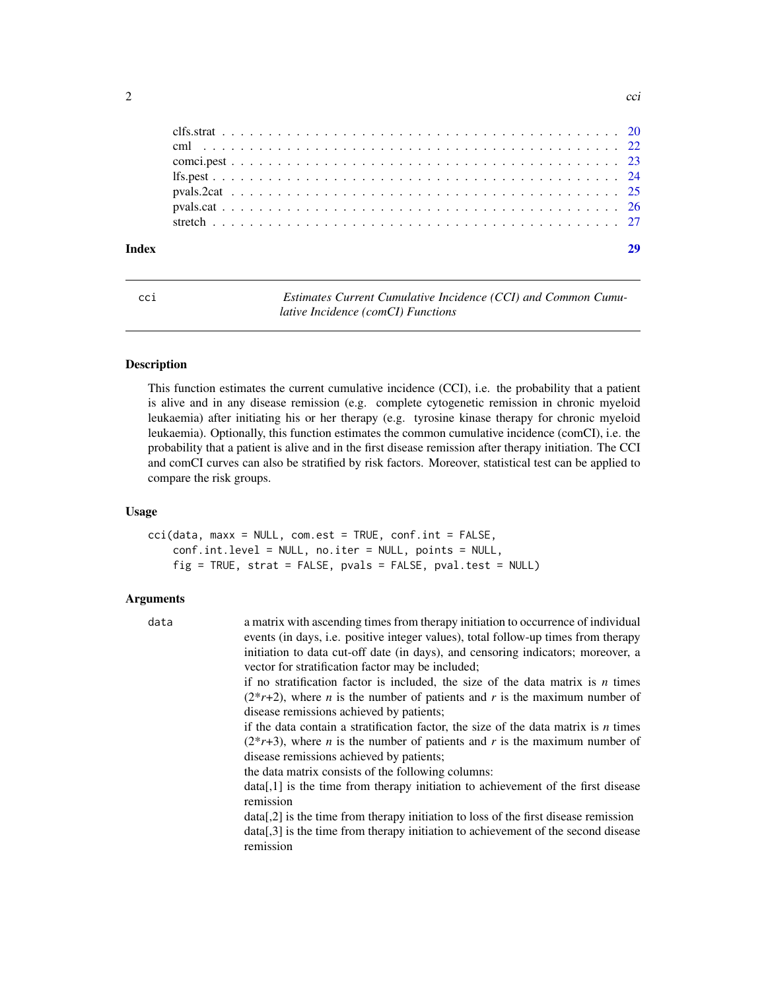<span id="page-1-0"></span>

| Index |  |  |  |  |  |  |  |  |  |  |  |  |  |  |  |  |  |  |  |  |  | 29 |
|-------|--|--|--|--|--|--|--|--|--|--|--|--|--|--|--|--|--|--|--|--|--|----|
|       |  |  |  |  |  |  |  |  |  |  |  |  |  |  |  |  |  |  |  |  |  |    |
|       |  |  |  |  |  |  |  |  |  |  |  |  |  |  |  |  |  |  |  |  |  |    |
|       |  |  |  |  |  |  |  |  |  |  |  |  |  |  |  |  |  |  |  |  |  |    |
|       |  |  |  |  |  |  |  |  |  |  |  |  |  |  |  |  |  |  |  |  |  |    |
|       |  |  |  |  |  |  |  |  |  |  |  |  |  |  |  |  |  |  |  |  |  |    |
|       |  |  |  |  |  |  |  |  |  |  |  |  |  |  |  |  |  |  |  |  |  |    |
|       |  |  |  |  |  |  |  |  |  |  |  |  |  |  |  |  |  |  |  |  |  |    |

<span id="page-1-1"></span>cci *Estimates Current Cumulative Incidence (CCI) and Common Cumulative Incidence (comCI) Functions*

# Description

This function estimates the current cumulative incidence (CCI), i.e. the probability that a patient is alive and in any disease remission (e.g. complete cytogenetic remission in chronic myeloid leukaemia) after initiating his or her therapy (e.g. tyrosine kinase therapy for chronic myeloid leukaemia). Optionally, this function estimates the common cumulative incidence (comCI), i.e. the probability that a patient is alive and in the first disease remission after therapy initiation. The CCI and comCI curves can also be stratified by risk factors. Moreover, statistical test can be applied to compare the risk groups.

#### Usage

cci(data, maxx = NULL, com.est = TRUE, conf.int = FALSE, conf.int.level = NULL, no.iter = NULL, points = NULL, fig = TRUE, strat = FALSE, pvals = FALSE, pval.test = NULL)

| data<br>vector for stratification factor may be included;<br>disease remissions achieved by patients;<br>disease remissions achieved by patients;<br>the data matrix consists of the following columns:<br>remission |                                                                                                                                                                                                                                                                                                                                                                                                                                                                                                                                                                                                                                                                                                                                                                                                                                                                                                             |
|----------------------------------------------------------------------------------------------------------------------------------------------------------------------------------------------------------------------|-------------------------------------------------------------------------------------------------------------------------------------------------------------------------------------------------------------------------------------------------------------------------------------------------------------------------------------------------------------------------------------------------------------------------------------------------------------------------------------------------------------------------------------------------------------------------------------------------------------------------------------------------------------------------------------------------------------------------------------------------------------------------------------------------------------------------------------------------------------------------------------------------------------|
| remission                                                                                                                                                                                                            | a matrix with ascending times from therapy initiation to occurrence of individual<br>events (in days, i.e. positive integer values), total follow-up times from therapy<br>initiation to data cut-off date (in days), and censoring indicators; moreover, a<br>if no stratification factor is included, the size of the data matrix is $n$ times<br>$(2^*r+2)$ , where <i>n</i> is the number of patients and <i>r</i> is the maximum number of<br>if the data contain a stratification factor, the size of the data matrix is $n$ times<br>$(2^*r+3)$ , where <i>n</i> is the number of patients and <i>r</i> is the maximum number of<br>data[,1] is the time from therapy initiation to achievement of the first disease<br>$data[2]$ is the time from therapy initiation to loss of the first disease remission<br>$data[0,3]$ is the time from therapy initiation to achievement of the second disease |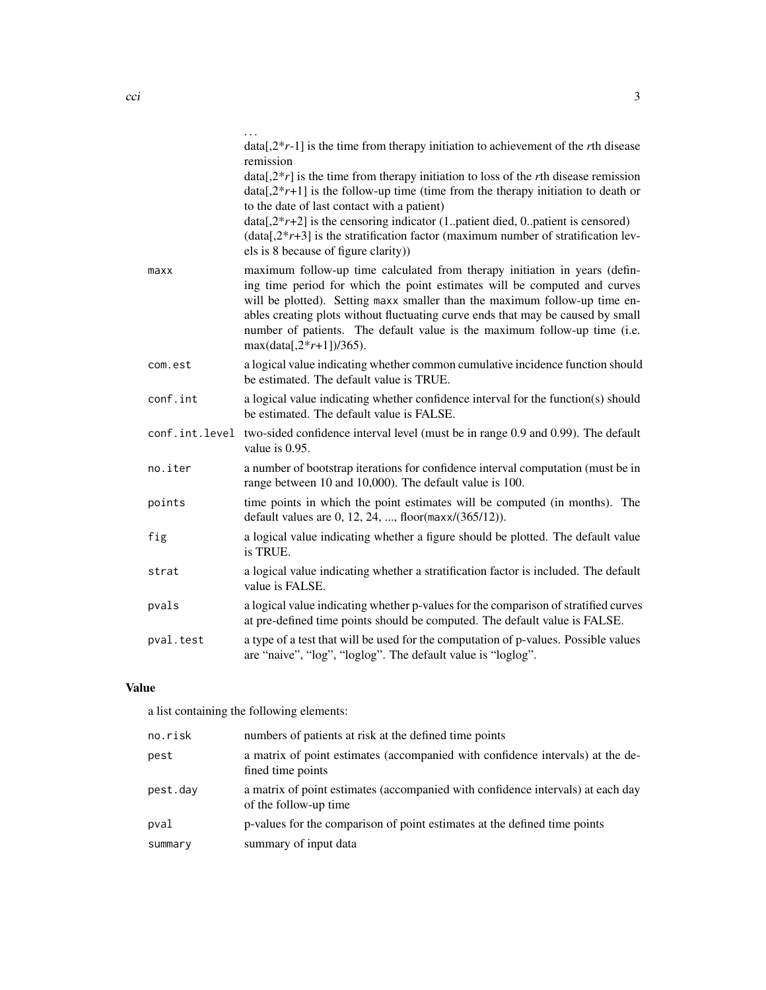|                | $data[2*r-1]$ is the time from therapy initiation to achievement of the rth disease<br>remission                                                                                                                                                                                                                                                                                                                                    |
|----------------|-------------------------------------------------------------------------------------------------------------------------------------------------------------------------------------------------------------------------------------------------------------------------------------------------------------------------------------------------------------------------------------------------------------------------------------|
|                | data[ $2*r$ ] is the time from therapy initiation to loss of the rth disease remission<br>$data[2*r+1]$ is the follow-up time (time from the therapy initiation to death or<br>to the date of last contact with a patient)                                                                                                                                                                                                          |
|                | $data[2*r+2]$ is the censoring indicator (1patient died, 0patient is censored)<br>$(data[, 2*r+3]$ is the stratification factor (maximum number of stratification lev-<br>els is 8 because of figure clarity)                                                                                                                                                                                                                       |
| maxx           | maximum follow-up time calculated from therapy initiation in years (defin-<br>ing time period for which the point estimates will be computed and curves<br>will be plotted). Setting maxx smaller than the maximum follow-up time en-<br>ables creating plots without fluctuating curve ends that may be caused by small<br>number of patients. The default value is the maximum follow-up time (i.e.<br>$max(data[, 2*r+1]/365)$ . |
| com.est        | a logical value indicating whether common cumulative incidence function should<br>be estimated. The default value is TRUE.                                                                                                                                                                                                                                                                                                          |
| conf.int       | a logical value indicating whether confidence interval for the function(s) should<br>be estimated. The default value is FALSE.                                                                                                                                                                                                                                                                                                      |
| conf.int.level | two-sided confidence interval level (must be in range 0.9 and 0.99). The default<br>value is 0.95.                                                                                                                                                                                                                                                                                                                                  |
| no.iter        | a number of bootstrap iterations for confidence interval computation (must be in<br>range between 10 and 10,000). The default value is 100.                                                                                                                                                                                                                                                                                         |
| points         | time points in which the point estimates will be computed (in months). The<br>default values are $0, 12, 24, ,$ floor( $max/(365/12)$ ).                                                                                                                                                                                                                                                                                            |
| fig            | a logical value indicating whether a figure should be plotted. The default value<br>is TRUE.                                                                                                                                                                                                                                                                                                                                        |
| strat          | a logical value indicating whether a stratification factor is included. The default<br>value is FALSE.                                                                                                                                                                                                                                                                                                                              |
| pvals          | a logical value indicating whether p-values for the comparison of stratified curves<br>at pre-defined time points should be computed. The default value is FALSE.                                                                                                                                                                                                                                                                   |
| pval.test      | a type of a test that will be used for the computation of p-values. Possible values<br>are "naive", "log", "loglog". The default value is "loglog".                                                                                                                                                                                                                                                                                 |
|                |                                                                                                                                                                                                                                                                                                                                                                                                                                     |

# Value

a list containing the following elements:

| no.risk  | numbers of patients at risk at the defined time points                                                   |
|----------|----------------------------------------------------------------------------------------------------------|
| pest     | a matrix of point estimates (accompanied with confidence intervals) at the de-<br>fined time points      |
| pest.dav | a matrix of point estimates (accompanied with confidence intervals) at each day<br>of the follow-up time |
| pval     | p-values for the comparison of point estimates at the defined time points                                |
| summary  | summary of input data                                                                                    |
|          |                                                                                                          |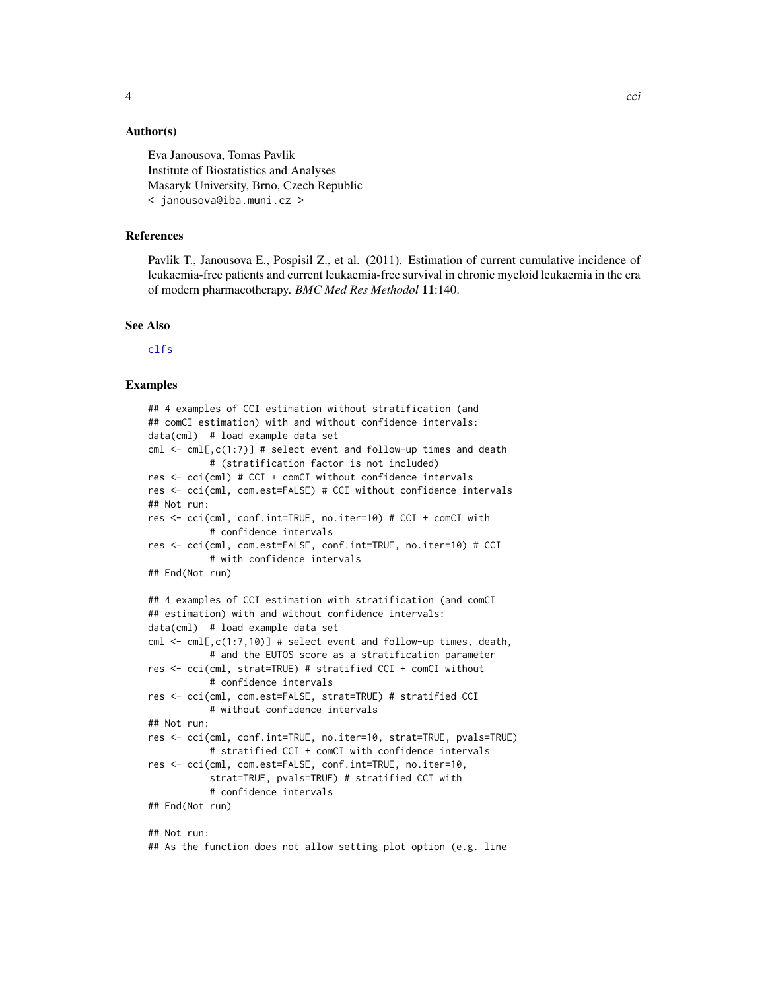# <span id="page-3-0"></span>Author(s)

Eva Janousova, Tomas Pavlik Institute of Biostatistics and Analyses Masaryk University, Brno, Czech Republic < janousova@iba.muni.cz >

#### References

Pavlik T., Janousova E., Pospisil Z., et al. (2011). Estimation of current cumulative incidence of leukaemia-free patients and current leukaemia-free survival in chronic myeloid leukaemia in the era of modern pharmacotherapy. *BMC Med Res Methodol* 11:140.

# See Also

[clfs](#page-12-1)

# Examples

```
## 4 examples of CCI estimation without stratification (and
## comCI estimation) with and without confidence intervals:
data(cml) # load example data set
cml \leq cml[,c(1:7)] # select event and follow-up times and death
           # (stratification factor is not included)
res <- cci(cml) # CCI + comCI without confidence intervals
res <- cci(cml, com.est=FALSE) # CCI without confidence intervals
## Not run:
res <- cci(cml, conf.int=TRUE, no.iter=10) # CCI + comCI with
           # confidence intervals
res <- cci(cml, com.est=FALSE, conf.int=TRUE, no.iter=10) # CCI
           # with confidence intervals
## End(Not run)
## 4 examples of CCI estimation with stratification (and comCI
## estimation) with and without confidence intervals:
data(cml) # load example data set
cml <- cml[,c(1:7,10)] # select event and follow-up times, death,
           # and the EUTOS score as a stratification parameter
res <- cci(cml, strat=TRUE) # stratified CCI + comCI without
           # confidence intervals
res <- cci(cml, com.est=FALSE, strat=TRUE) # stratified CCI
           # without confidence intervals
## Not run:
res <- cci(cml, conf.int=TRUE, no.iter=10, strat=TRUE, pvals=TRUE)
           # stratified CCI + comCI with confidence intervals
res <- cci(cml, com.est=FALSE, conf.int=TRUE, no.iter=10,
           strat=TRUE, pvals=TRUE) # stratified CCI with
           # confidence intervals
## End(Not run)
## Not run:
```
## As the function does not allow setting plot option (e.g. line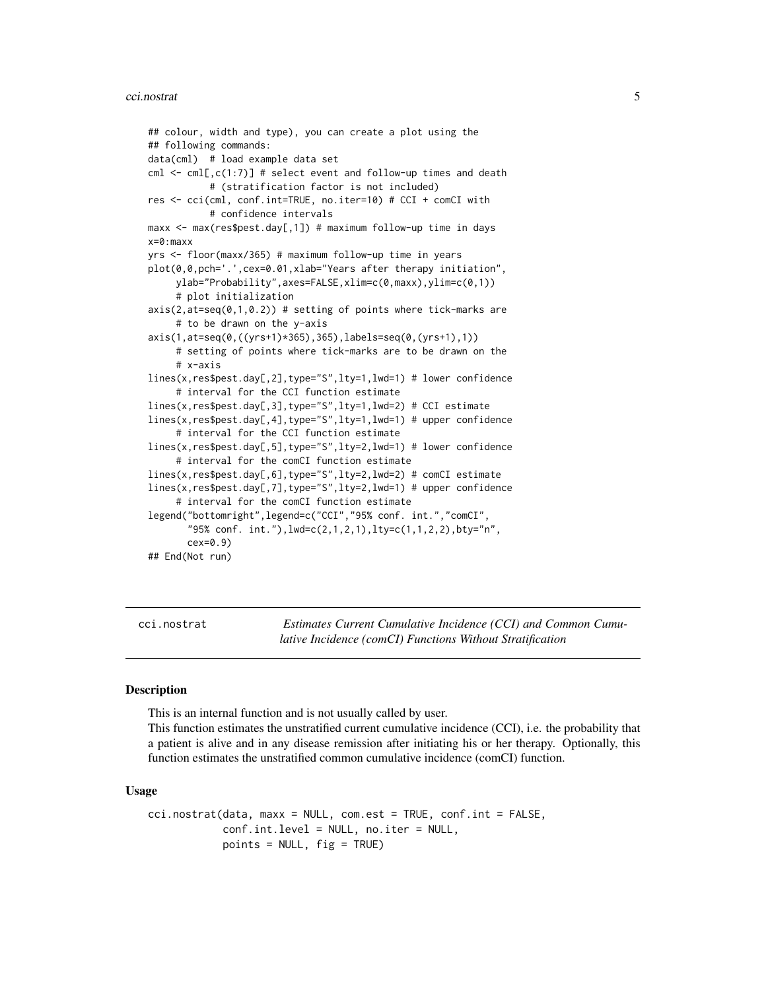#### <span id="page-4-0"></span>cci.nostrat 5

```
## colour, width and type), you can create a plot using the
## following commands:
data(cml) # load example data set
cml \leq cml[,c(1:7)] # select event and follow-up times and death
           # (stratification factor is not included)
res <- cci(cml, conf.int=TRUE, no.iter=10) # CCI + comCI with
           # confidence intervals
maxx <- max(res$pest.day[,1]) # maximum follow-up time in days
x=0:maxx
yrs <- floor(maxx/365) # maximum follow-up time in years
plot(0,0,pch='.',cex=0.01,xlab="Years after therapy initiation",
     ylab="Probability",axes=FALSE,xlim=c(0,maxx),ylim=c(0,1))
     # plot initialization
axis(2,at=seq(0,1,0.2)) # setting of points where tick-marks are
     # to be drawn on the y-axis
axis(1,at=seq(0,((yrs+1)*365),365),labels=seq(0,(yrs+1),1))
     # setting of points where tick-marks are to be drawn on the
     # x-axis
lines(x,res$pest.day[,2],type="S",lty=1,lwd=1) # lower confidence
     # interval for the CCI function estimate
lines(x,res$pest.day[,3],type="S",lty=1,lwd=2) # CCI estimate
lines(x,res$pest.day[,4],type="S",lty=1,lwd=1) # upper confidence
     # interval for the CCI function estimate
lines(x,res$pest.day[,5],type="S",lty=2,lwd=1) # lower confidence
     # interval for the comCI function estimate
lines(x,res$pest.day[,6],type="S",lty=2,lwd=2) # comCI estimate
lines(x,res$pest.day[,7],type="S",lty=2,lwd=1) # upper confidence
     # interval for the comCI function estimate
legend("bottomright",legend=c("CCI","95% conf. int.","comCI",
       "95% conf. int."),lwd=c(2,1,2,1),lty=c(1,1,2,2),bty="n",
      cex=0.9)
## End(Not run)
```
cci.nostrat *Estimates Current Cumulative Incidence (CCI) and Common Cumulative Incidence (comCI) Functions Without Stratification*

#### **Description**

This is an internal function and is not usually called by user.

This function estimates the unstratified current cumulative incidence (CCI), i.e. the probability that a patient is alive and in any disease remission after initiating his or her therapy. Optionally, this function estimates the unstratified common cumulative incidence (comCI) function.

#### Usage

```
cci.nostrat(data, maxx = NULL, com.est = TRUE, conf.int = FALSE,
            conf.int.level = NULL, no.iter = NULL,
            points = NULL, fig = TRUE)
```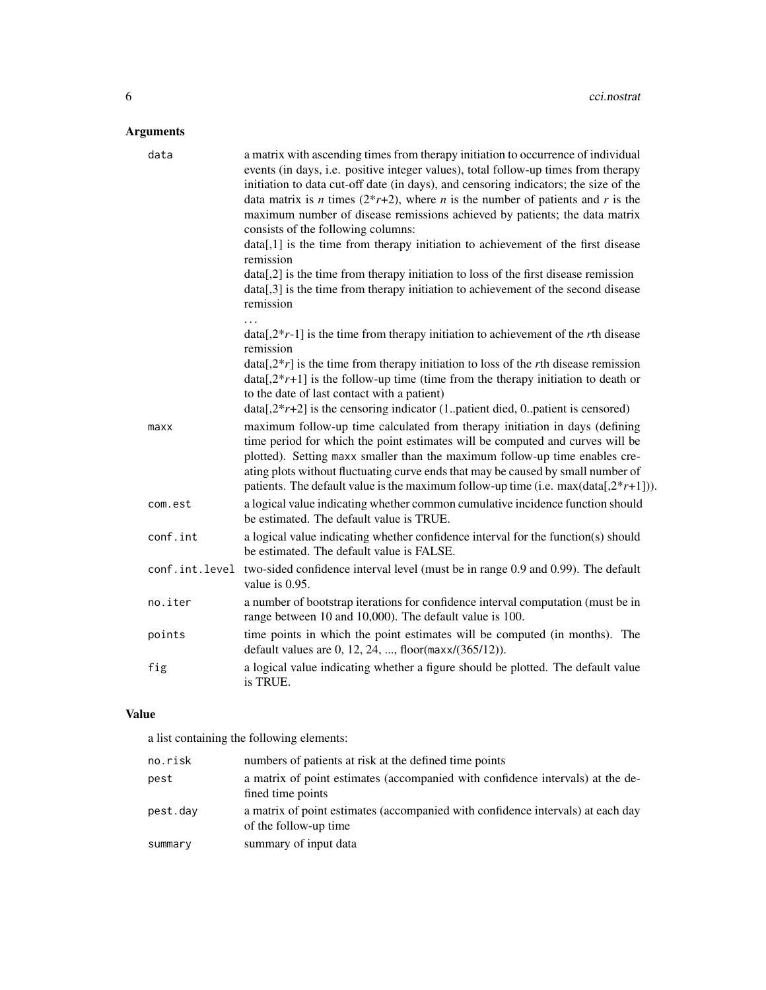# Arguments

| data     | a matrix with ascending times from therapy initiation to occurrence of individual<br>events (in days, i.e. positive integer values), total follow-up times from therapy<br>initiation to data cut-off date (in days), and censoring indicators; the size of the<br>data matrix is <i>n</i> times $(2^*r+2)$ , where <i>n</i> is the number of patients and <i>r</i> is the<br>maximum number of disease remissions achieved by patients; the data matrix<br>consists of the following columns:<br>data[,1] is the time from therapy initiation to achievement of the first disease<br>remission<br>$data[2]$ is the time from therapy initiation to loss of the first disease remission<br>data[,3] is the time from therapy initiation to achievement of the second disease<br>remission |
|----------|-------------------------------------------------------------------------------------------------------------------------------------------------------------------------------------------------------------------------------------------------------------------------------------------------------------------------------------------------------------------------------------------------------------------------------------------------------------------------------------------------------------------------------------------------------------------------------------------------------------------------------------------------------------------------------------------------------------------------------------------------------------------------------------------|
|          | $data[2*r-1]$ is the time from therapy initiation to achievement of the rth disease<br>remission                                                                                                                                                                                                                                                                                                                                                                                                                                                                                                                                                                                                                                                                                          |
|          | $data[2*r]$ is the time from therapy initiation to loss of the rth disease remission<br>$data[2*r+1]$ is the follow-up time (time from the therapy initiation to death or<br>to the date of last contact with a patient)<br>$data[2*r+2]$ is the censoring indicator (1patient died, 0patient is censored)                                                                                                                                                                                                                                                                                                                                                                                                                                                                                |
| maxx     | maximum follow-up time calculated from therapy initiation in days (defining<br>time period for which the point estimates will be computed and curves will be<br>plotted). Setting maxx smaller than the maximum follow-up time enables cre-<br>ating plots without fluctuating curve ends that may be caused by small number of<br>patients. The default value is the maximum follow-up time (i.e. $max(data[2*r+1])$ ).                                                                                                                                                                                                                                                                                                                                                                  |
| com.est  | a logical value indicating whether common cumulative incidence function should<br>be estimated. The default value is TRUE.                                                                                                                                                                                                                                                                                                                                                                                                                                                                                                                                                                                                                                                                |
| conf.int | a logical value indicating whether confidence interval for the function(s) should<br>be estimated. The default value is FALSE.                                                                                                                                                                                                                                                                                                                                                                                                                                                                                                                                                                                                                                                            |
|          | conf.int.level two-sided confidence interval level (must be in range 0.9 and 0.99). The default<br>value is 0.95.                                                                                                                                                                                                                                                                                                                                                                                                                                                                                                                                                                                                                                                                         |
| no.iter  | a number of bootstrap iterations for confidence interval computation (must be in<br>range between 10 and 10,000). The default value is 100.                                                                                                                                                                                                                                                                                                                                                                                                                                                                                                                                                                                                                                               |
| points   | time points in which the point estimates will be computed (in months). The<br>default values are 0, 12, 24, , floor(maxx/(365/12)).                                                                                                                                                                                                                                                                                                                                                                                                                                                                                                                                                                                                                                                       |
| fig      | a logical value indicating whether a figure should be plotted. The default value<br>is TRUE.                                                                                                                                                                                                                                                                                                                                                                                                                                                                                                                                                                                                                                                                                              |

# Value

a list containing the following elements:

| no.risk  | numbers of patients at risk at the defined time points                                                   |
|----------|----------------------------------------------------------------------------------------------------------|
| pest     | a matrix of point estimates (accompanied with confidence intervals) at the de-<br>fined time points      |
| pest.dav | a matrix of point estimates (accompanied with confidence intervals) at each day<br>of the follow-up time |
| summary  | summary of input data                                                                                    |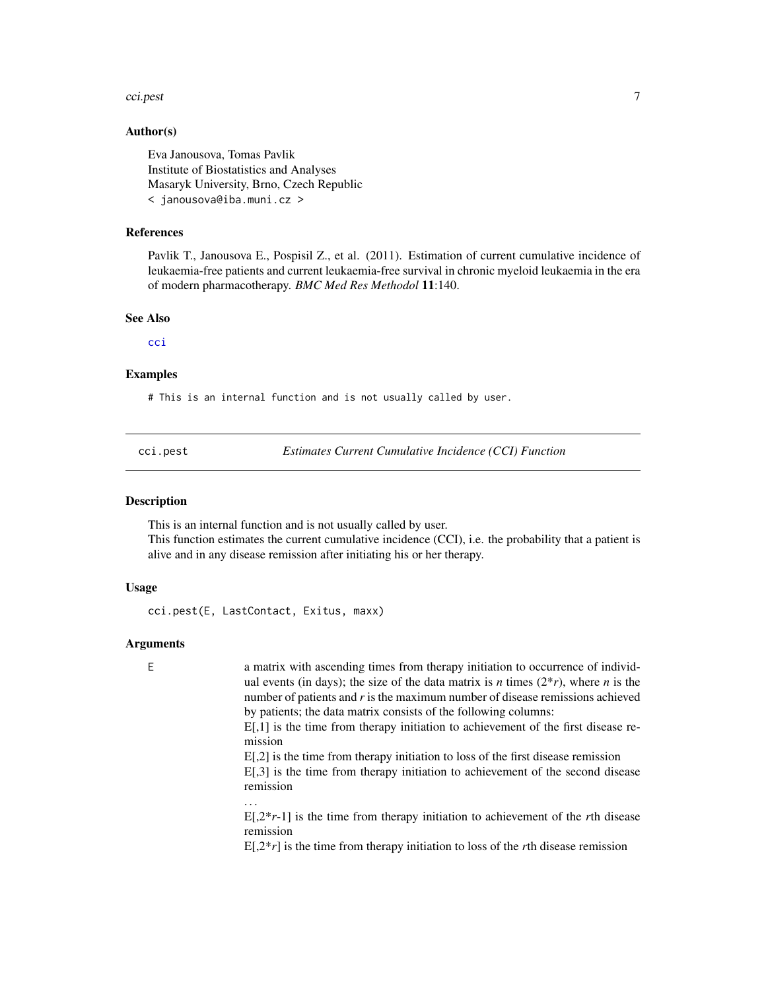#### <span id="page-6-0"></span>cci.pest 7

# Author(s)

Eva Janousova, Tomas Pavlik Institute of Biostatistics and Analyses Masaryk University, Brno, Czech Republic < janousova@iba.muni.cz >

# References

Pavlik T., Janousova E., Pospisil Z., et al. (2011). Estimation of current cumulative incidence of leukaemia-free patients and current leukaemia-free survival in chronic myeloid leukaemia in the era of modern pharmacotherapy. *BMC Med Res Methodol* 11:140.

#### See Also

[cci](#page-1-1)

#### Examples

# This is an internal function and is not usually called by user.

cci.pest *Estimates Current Cumulative Incidence (CCI) Function*

#### Description

This is an internal function and is not usually called by user.

This function estimates the current cumulative incidence (CCI), i.e. the probability that a patient is alive and in any disease remission after initiating his or her therapy.

#### Usage

cci.pest(E, LastContact, Exitus, maxx)

#### Arguments

E a matrix with ascending times from therapy initiation to occurrence of individual events (in days); the size of the data matrix is *n* times  $(2^*r)$ , where *n* is the number of patients and *r* is the maximum number of disease remissions achieved by patients; the data matrix consists of the following columns:

> E[,1] is the time from therapy initiation to achievement of the first disease remission

> E[,2] is the time from therapy initiation to loss of the first disease remission E[,3] is the time from therapy initiation to achievement of the second disease remission

E[,2\**r*-1] is the time from therapy initiation to achievement of the *r*th disease remission

 $E[2*r]$  is the time from therapy initiation to loss of the *r*th disease remission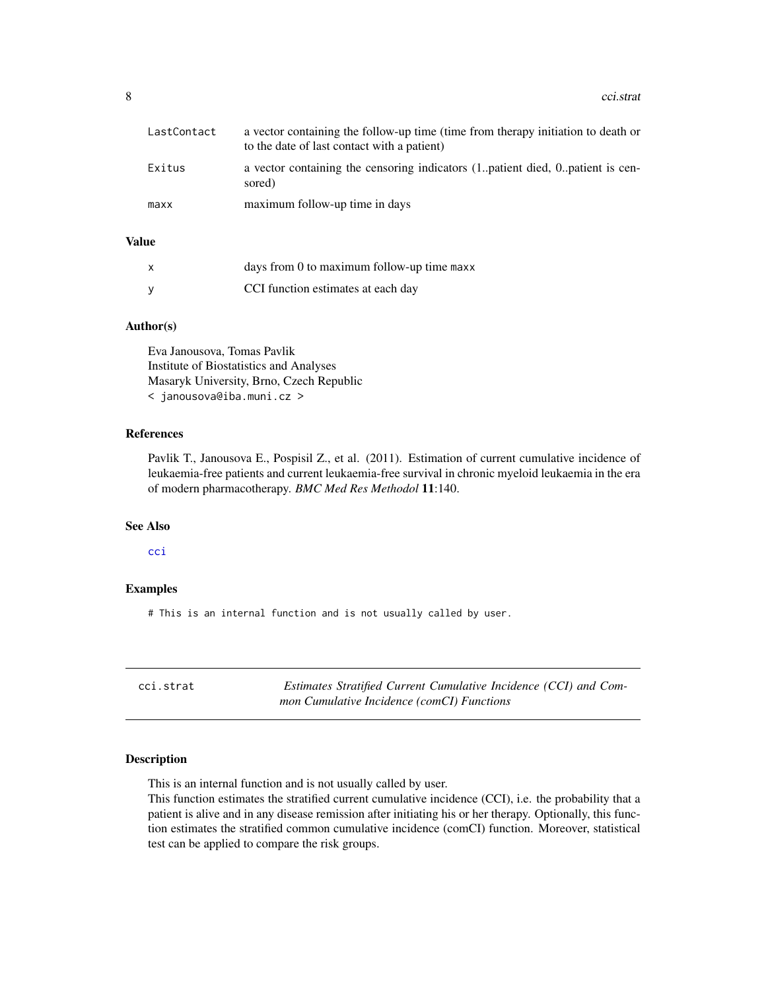<span id="page-7-0"></span>

| LastContact | a vector containing the follow-up time (time from therapy initiation to death or<br>to the date of last contact with a patient) |
|-------------|---------------------------------------------------------------------------------------------------------------------------------|
| Exitus      | a vector containing the censoring indicators (1., patient died, 0., patient is cen-<br>sored)                                   |
| maxx        | maximum follow-up time in days                                                                                                  |

# Value

| x | days from 0 to maximum follow-up time maxx |
|---|--------------------------------------------|
|   | CCI function estimates at each day         |

#### Author(s)

Eva Janousova, Tomas Pavlik Institute of Biostatistics and Analyses Masaryk University, Brno, Czech Republic < janousova@iba.muni.cz >

# References

Pavlik T., Janousova E., Pospisil Z., et al. (2011). Estimation of current cumulative incidence of leukaemia-free patients and current leukaemia-free survival in chronic myeloid leukaemia in the era of modern pharmacotherapy. *BMC Med Res Methodol* 11:140.

# See Also

[cci](#page-1-1)

#### Examples

# This is an internal function and is not usually called by user.

| cci.strat | Estimates Stratified Current Cumulative Incidence (CCI) and Com- |
|-----------|------------------------------------------------------------------|
|           | mon Cumulative Incidence (comCI) Functions                       |

#### Description

This is an internal function and is not usually called by user.

This function estimates the stratified current cumulative incidence (CCI), i.e. the probability that a patient is alive and in any disease remission after initiating his or her therapy. Optionally, this function estimates the stratified common cumulative incidence (comCI) function. Moreover, statistical test can be applied to compare the risk groups.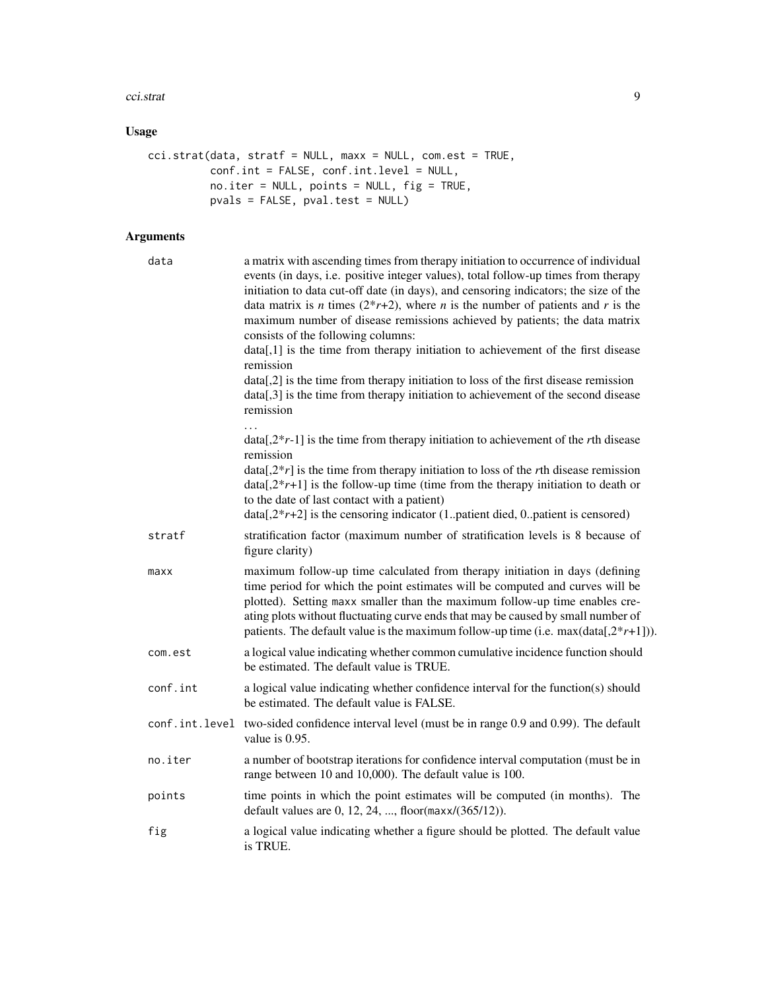#### cci.strat 9

# Usage

```
cci.strat(data, stratf = NULL, maxx = NULL, com.est = TRUE,
          conf.int = FALSE, conf.int.level = NULL,
          no.iter = NULL, points = NULL, fig = TRUE,
          pvals = FALSE, pval.test = NULL)
```

| data     | a matrix with ascending times from therapy initiation to occurrence of individual<br>events (in days, i.e. positive integer values), total follow-up times from therapy<br>initiation to data cut-off date (in days), and censoring indicators; the size of the<br>data matrix is <i>n</i> times $(2^*r+2)$ , where <i>n</i> is the number of patients and <i>r</i> is the<br>maximum number of disease remissions achieved by patients; the data matrix<br>consists of the following columns:<br>data[,1] is the time from therapy initiation to achievement of the first disease<br>remission<br>data[,2] is the time from therapy initiation to loss of the first disease remission<br>data[,3] is the time from therapy initiation to achievement of the second disease<br>remission |
|----------|------------------------------------------------------------------------------------------------------------------------------------------------------------------------------------------------------------------------------------------------------------------------------------------------------------------------------------------------------------------------------------------------------------------------------------------------------------------------------------------------------------------------------------------------------------------------------------------------------------------------------------------------------------------------------------------------------------------------------------------------------------------------------------------|
|          | $data[2*r-1]$ is the time from therapy initiation to achievement of the rth disease<br>remission<br>$data[2*r]$ is the time from therapy initiation to loss of the rth disease remission<br>$data[2*r+1]$ is the follow-up time (time from the therapy initiation to death or<br>to the date of last contact with a patient)<br>$data[2*r+2]$ is the censoring indicator (1. patient died, 0. patient is censored)                                                                                                                                                                                                                                                                                                                                                                       |
| stratf   | stratification factor (maximum number of stratification levels is 8 because of<br>figure clarity)                                                                                                                                                                                                                                                                                                                                                                                                                                                                                                                                                                                                                                                                                        |
| maxx     | maximum follow-up time calculated from therapy initiation in days (defining<br>time period for which the point estimates will be computed and curves will be<br>plotted). Setting maxx smaller than the maximum follow-up time enables cre-<br>ating plots without fluctuating curve ends that may be caused by small number of<br>patients. The default value is the maximum follow-up time (i.e. $max(data[2*r+1])$ ).                                                                                                                                                                                                                                                                                                                                                                 |
| com.est  | a logical value indicating whether common cumulative incidence function should<br>be estimated. The default value is TRUE.                                                                                                                                                                                                                                                                                                                                                                                                                                                                                                                                                                                                                                                               |
| conf.int | a logical value indicating whether confidence interval for the function(s) should<br>be estimated. The default value is FALSE.                                                                                                                                                                                                                                                                                                                                                                                                                                                                                                                                                                                                                                                           |
|          | conf.int.level two-sided confidence interval level (must be in range 0.9 and 0.99). The default<br>value is 0.95.                                                                                                                                                                                                                                                                                                                                                                                                                                                                                                                                                                                                                                                                        |
| no.iter  | a number of bootstrap iterations for confidence interval computation (must be in<br>range between 10 and 10,000). The default value is 100.                                                                                                                                                                                                                                                                                                                                                                                                                                                                                                                                                                                                                                              |
| points   | time points in which the point estimates will be computed (in months). The<br>default values are 0, 12, 24, , floor( $max/(365/12)$ ).                                                                                                                                                                                                                                                                                                                                                                                                                                                                                                                                                                                                                                                   |
| fig      | a logical value indicating whether a figure should be plotted. The default value<br>is TRUE.                                                                                                                                                                                                                                                                                                                                                                                                                                                                                                                                                                                                                                                                                             |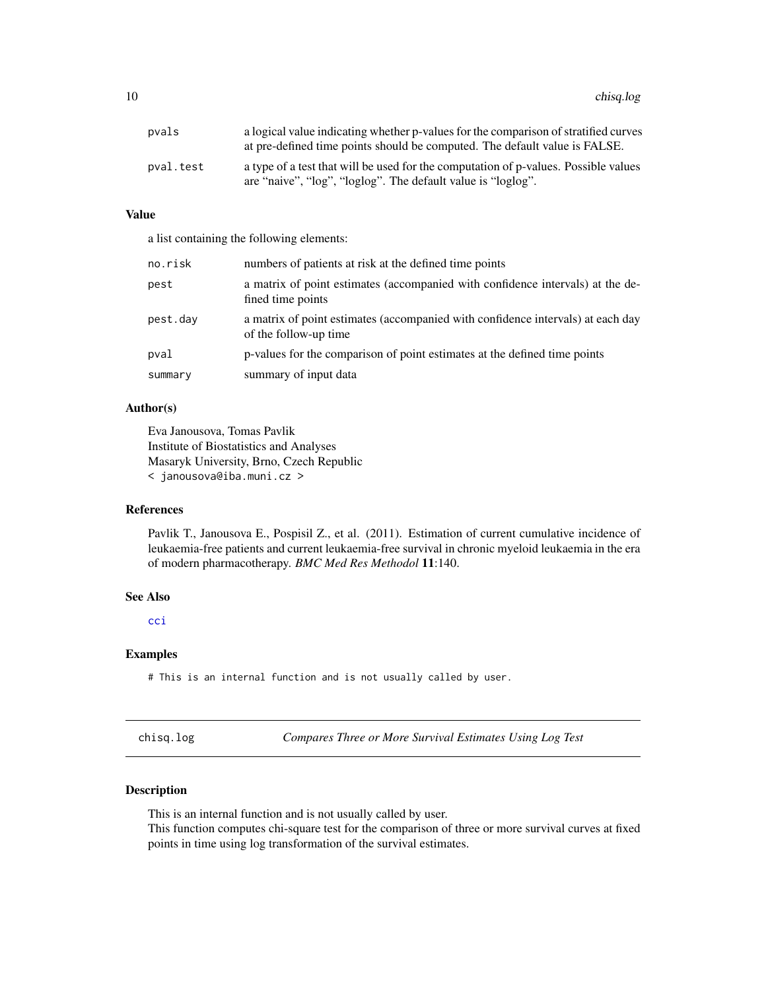<span id="page-9-0"></span>10 chisq.log

| pvals     | a logical value indicating whether p-values for the comparison of stratified curves<br>at pre-defined time points should be computed. The default value is FALSE. |
|-----------|-------------------------------------------------------------------------------------------------------------------------------------------------------------------|
| pval.test | a type of a test that will be used for the computation of p-values. Possible values<br>are "naive", "log", "loglog". The default value is "loglog".               |

# Value

a list containing the following elements:

| no.risk  | numbers of patients at risk at the defined time points                                                   |
|----------|----------------------------------------------------------------------------------------------------------|
| pest     | a matrix of point estimates (accompanied with confidence intervals) at the de-<br>fined time points      |
| pest.day | a matrix of point estimates (accompanied with confidence intervals) at each day<br>of the follow-up time |
| pval     | p-values for the comparison of point estimates at the defined time points                                |
| summary  | summary of input data                                                                                    |

# Author(s)

Eva Janousova, Tomas Pavlik Institute of Biostatistics and Analyses Masaryk University, Brno, Czech Republic < janousova@iba.muni.cz >

# References

Pavlik T., Janousova E., Pospisil Z., et al. (2011). Estimation of current cumulative incidence of leukaemia-free patients and current leukaemia-free survival in chronic myeloid leukaemia in the era of modern pharmacotherapy. *BMC Med Res Methodol* 11:140.

#### See Also

[cci](#page-1-1)

# Examples

# This is an internal function and is not usually called by user.

<span id="page-9-1"></span>chisq.log *Compares Three or More Survival Estimates Using Log Test*

# Description

This is an internal function and is not usually called by user.

This function computes chi-square test for the comparison of three or more survival curves at fixed points in time using log transformation of the survival estimates.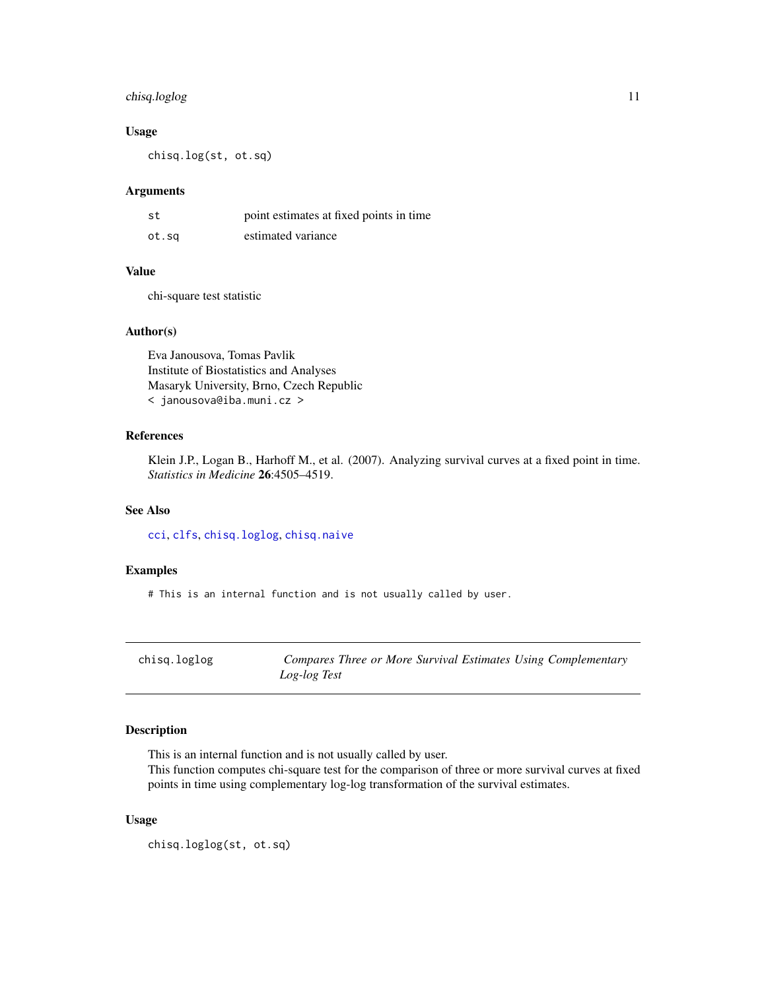# <span id="page-10-0"></span>chisq.loglog 11

# Usage

chisq.log(st, ot.sq)

#### Arguments

| st    | point estimates at fixed points in time |
|-------|-----------------------------------------|
| ot.sq | estimated variance                      |

# Value

chi-square test statistic

# Author(s)

Eva Janousova, Tomas Pavlik Institute of Biostatistics and Analyses Masaryk University, Brno, Czech Republic < janousova@iba.muni.cz >

# References

Klein J.P., Logan B., Harhoff M., et al. (2007). Analyzing survival curves at a fixed point in time. *Statistics in Medicine* 26:4505–4519.

# See Also

[cci](#page-1-1), [clfs](#page-12-1), [chisq.loglog](#page-10-1), [chisq.naive](#page-11-1)

# Examples

# This is an internal function and is not usually called by user.

<span id="page-10-1"></span>chisq.loglog *Compares Three or More Survival Estimates Using Complementary Log-log Test*

# Description

This is an internal function and is not usually called by user.

This function computes chi-square test for the comparison of three or more survival curves at fixed points in time using complementary log-log transformation of the survival estimates.

# Usage

chisq.loglog(st, ot.sq)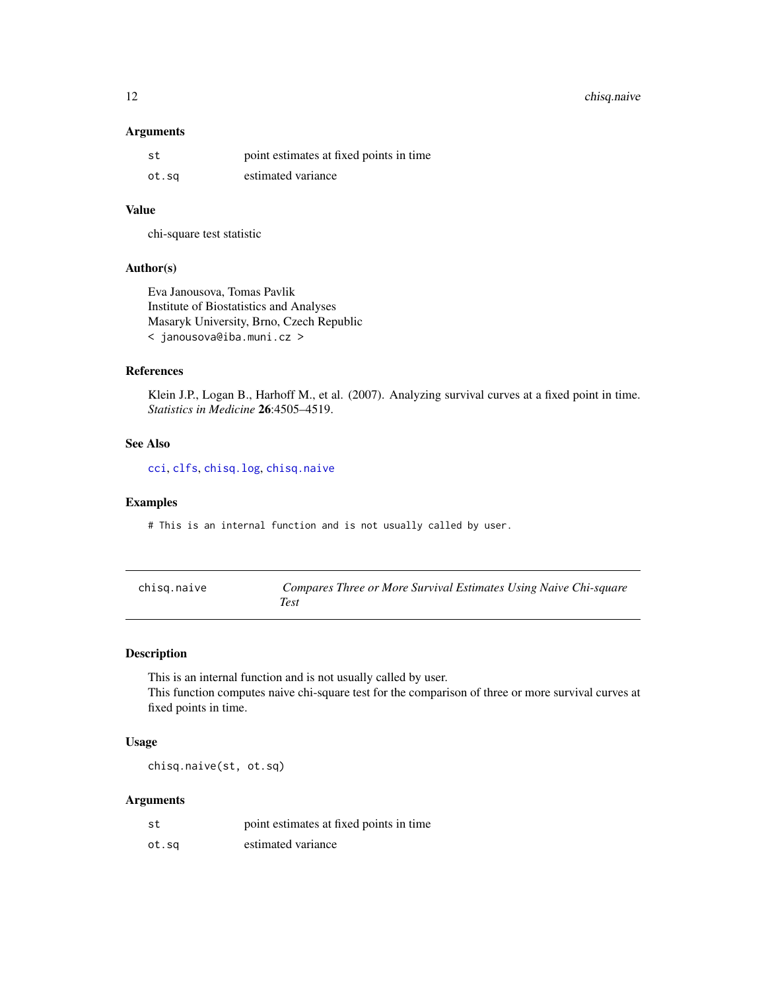# <span id="page-11-0"></span>12 chisq.naive

# Arguments

| st    | point estimates at fixed points in time |
|-------|-----------------------------------------|
| ot.sq | estimated variance                      |

# Value

chi-square test statistic

# Author(s)

Eva Janousova, Tomas Pavlik Institute of Biostatistics and Analyses Masaryk University, Brno, Czech Republic < janousova@iba.muni.cz >

# References

Klein J.P., Logan B., Harhoff M., et al. (2007). Analyzing survival curves at a fixed point in time. *Statistics in Medicine* 26:4505–4519.

# See Also

[cci](#page-1-1), [clfs](#page-12-1), [chisq.log](#page-9-1), [chisq.naive](#page-11-1)

# Examples

# This is an internal function and is not usually called by user.

<span id="page-11-1"></span>

| chisg.naive | Compares Three or More Survival Estimates Using Naive Chi-square |
|-------------|------------------------------------------------------------------|
|             | Test                                                             |

# Description

This is an internal function and is not usually called by user. This function computes naive chi-square test for the comparison of three or more survival curves at fixed points in time.

# Usage

chisq.naive(st, ot.sq)

| st    | point estimates at fixed points in time |
|-------|-----------------------------------------|
| ot.sq | estimated variance                      |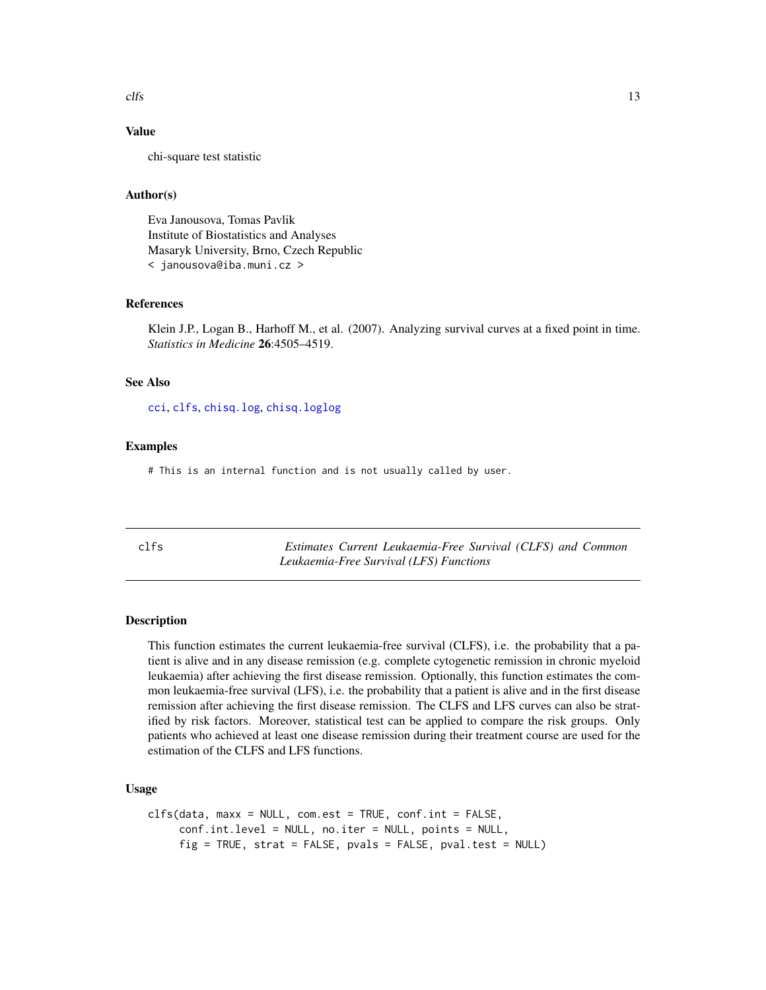#### <span id="page-12-0"></span> $clfs$  13

# Value

chi-square test statistic

#### Author(s)

Eva Janousova, Tomas Pavlik Institute of Biostatistics and Analyses Masaryk University, Brno, Czech Republic < janousova@iba.muni.cz >

#### References

Klein J.P., Logan B., Harhoff M., et al. (2007). Analyzing survival curves at a fixed point in time. *Statistics in Medicine* 26:4505–4519.

# See Also

[cci](#page-1-1), [clfs](#page-12-1), [chisq.log](#page-9-1), [chisq.loglog](#page-10-1)

#### Examples

# This is an internal function and is not usually called by user.

<span id="page-12-1"></span>

| ۰.<br>M. | ×<br>۰.<br>× |
|----------|--------------|

 $Estimates$  *Current Leukaemia-Free Survival (CLFS) and Common Leukaemia-Free Survival (LFS) Functions*

#### **Description**

This function estimates the current leukaemia-free survival (CLFS), i.e. the probability that a patient is alive and in any disease remission (e.g. complete cytogenetic remission in chronic myeloid leukaemia) after achieving the first disease remission. Optionally, this function estimates the common leukaemia-free survival (LFS), i.e. the probability that a patient is alive and in the first disease remission after achieving the first disease remission. The CLFS and LFS curves can also be stratified by risk factors. Moreover, statistical test can be applied to compare the risk groups. Only patients who achieved at least one disease remission during their treatment course are used for the estimation of the CLFS and LFS functions.

# Usage

```
clfs(data, max = NULL, com. est = TRUE, conf.int = FALSE,conf.int.level = NULL, no.iter = NULL, points = NULL,
    fig = TRUE, strat = FALSE, pvals = FALSE, pval.test = NULL)
```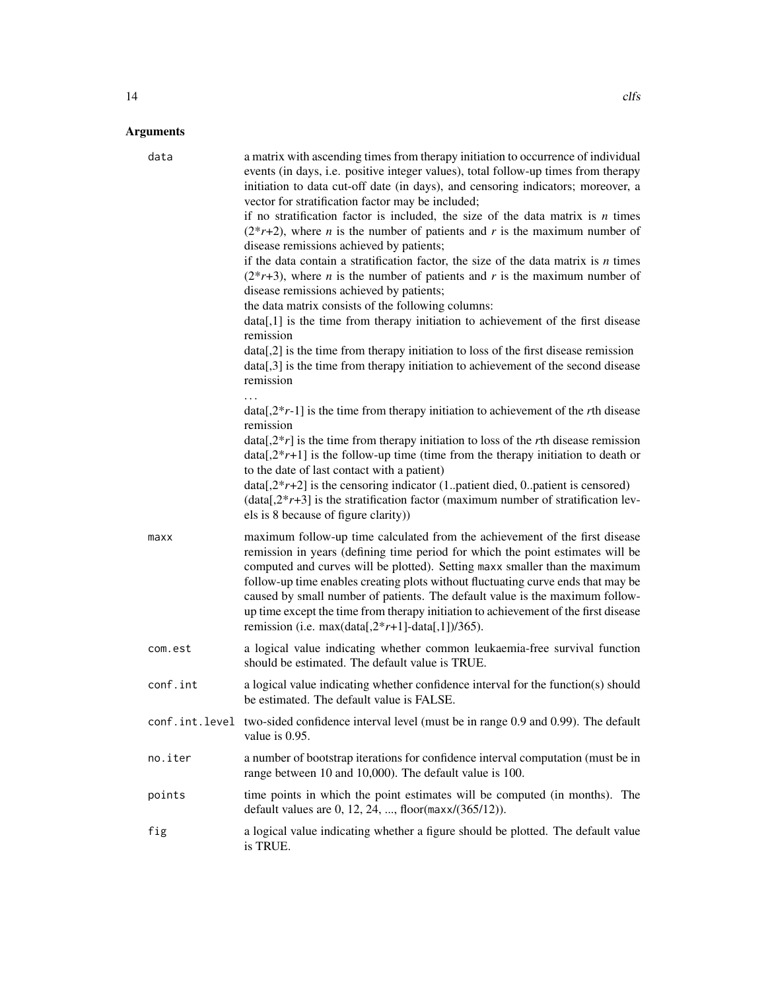| data     | a matrix with ascending times from therapy initiation to occurrence of individual<br>events (in days, i.e. positive integer values), total follow-up times from therapy<br>initiation to data cut-off date (in days), and censoring indicators; moreover, a<br>vector for stratification factor may be included;<br>if no stratification factor is included, the size of the data matrix is $n$ times<br>$(2*r+2)$ , where <i>n</i> is the number of patients and <i>r</i> is the maximum number of<br>disease remissions achieved by patients;<br>if the data contain a stratification factor, the size of the data matrix is $n$ times<br>$(2*r+3)$ , where <i>n</i> is the number of patients and <i>r</i> is the maximum number of<br>disease remissions achieved by patients;<br>the data matrix consists of the following columns:<br>data[,1] is the time from therapy initiation to achievement of the first disease<br>remission<br>data[,2] is the time from therapy initiation to loss of the first disease remission<br>data[,3] is the time from therapy initiation to achievement of the second disease<br>remission |
|----------|------------------------------------------------------------------------------------------------------------------------------------------------------------------------------------------------------------------------------------------------------------------------------------------------------------------------------------------------------------------------------------------------------------------------------------------------------------------------------------------------------------------------------------------------------------------------------------------------------------------------------------------------------------------------------------------------------------------------------------------------------------------------------------------------------------------------------------------------------------------------------------------------------------------------------------------------------------------------------------------------------------------------------------------------------------------------------------------------------------------------------------|
|          | $data[.2*r-1]$ is the time from therapy initiation to achievement of the <i>r</i> th disease<br>remission<br>$data[.2*r]$ is the time from therapy initiation to loss of the rth disease remission<br>$data[2*r+1]$ is the follow-up time (time from the therapy initiation to death or<br>to the date of last contact with a patient)<br>$data[2*r+2]$ is the censoring indicator (1patient died, 0patient is censored)<br>$(data[, 2*r+3]$ is the stratification factor (maximum number of stratification lev-<br>els is 8 because of figure clarity))                                                                                                                                                                                                                                                                                                                                                                                                                                                                                                                                                                           |
| maxx     | maximum follow-up time calculated from the achievement of the first disease<br>remission in years (defining time period for which the point estimates will be<br>computed and curves will be plotted). Setting maxx smaller than the maximum<br>follow-up time enables creating plots without fluctuating curve ends that may be<br>caused by small number of patients. The default value is the maximum follow-<br>up time except the time from therapy initiation to achievement of the first disease<br>remission (i.e. max(data[, $2*r+1$ ]-data[,1])/365).                                                                                                                                                                                                                                                                                                                                                                                                                                                                                                                                                                    |
| com.est  | a logical value indicating whether common leukaemia-free survival function<br>should be estimated. The default value is TRUE.                                                                                                                                                                                                                                                                                                                                                                                                                                                                                                                                                                                                                                                                                                                                                                                                                                                                                                                                                                                                      |
| conf.int | a logical value indicating whether confidence interval for the function(s) should<br>be estimated. The default value is FALSE.                                                                                                                                                                                                                                                                                                                                                                                                                                                                                                                                                                                                                                                                                                                                                                                                                                                                                                                                                                                                     |
|          | conf.int.level two-sided confidence interval level (must be in range 0.9 and 0.99). The default<br>value is 0.95.                                                                                                                                                                                                                                                                                                                                                                                                                                                                                                                                                                                                                                                                                                                                                                                                                                                                                                                                                                                                                  |
| no.iter  | a number of bootstrap iterations for confidence interval computation (must be in<br>range between 10 and 10,000). The default value is 100.                                                                                                                                                                                                                                                                                                                                                                                                                                                                                                                                                                                                                                                                                                                                                                                                                                                                                                                                                                                        |
| points   | time points in which the point estimates will be computed (in months). The<br>default values are 0, 12, 24, , floor(maxx/(365/12)).                                                                                                                                                                                                                                                                                                                                                                                                                                                                                                                                                                                                                                                                                                                                                                                                                                                                                                                                                                                                |
| fig      | a logical value indicating whether a figure should be plotted. The default value<br>is TRUE.                                                                                                                                                                                                                                                                                                                                                                                                                                                                                                                                                                                                                                                                                                                                                                                                                                                                                                                                                                                                                                       |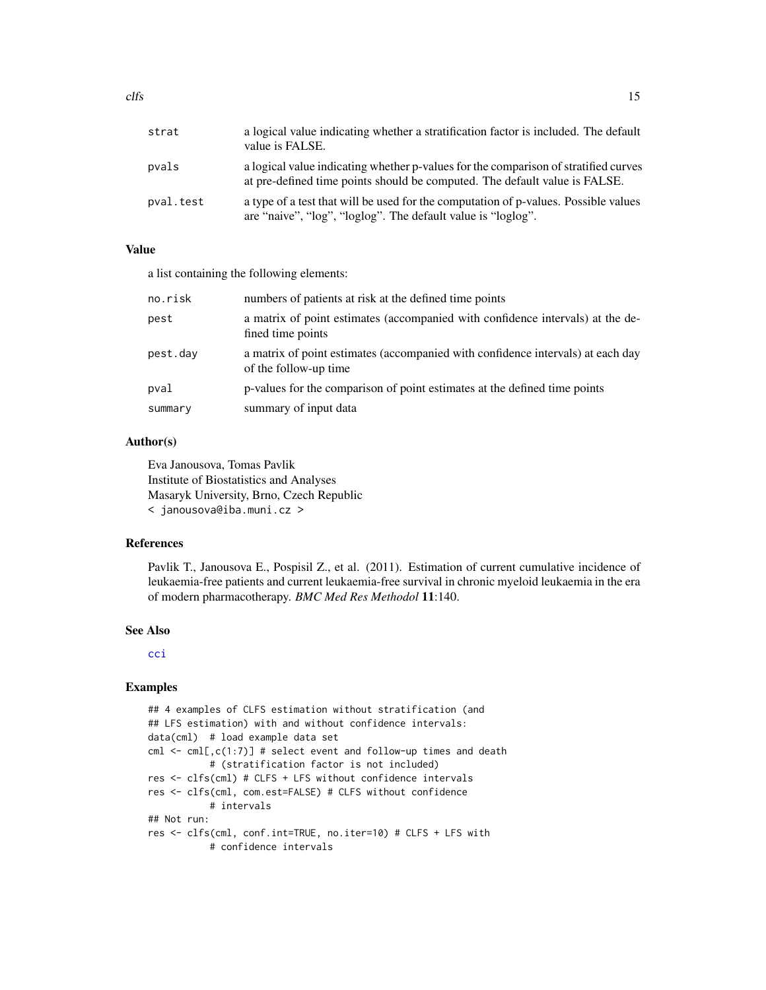<span id="page-14-0"></span>

| strat     | a logical value indicating whether a stratification factor is included. The default<br>value is FALSE.                                                            |
|-----------|-------------------------------------------------------------------------------------------------------------------------------------------------------------------|
| pvals     | a logical value indicating whether p-values for the comparison of stratified curves<br>at pre-defined time points should be computed. The default value is FALSE. |
| pval.test | a type of a test that will be used for the computation of p-values. Possible values<br>are "naive", "log", "loglog". The default value is "loglog".               |

# Value

a list containing the following elements:

| no.risk  | numbers of patients at risk at the defined time points                                                   |
|----------|----------------------------------------------------------------------------------------------------------|
| pest     | a matrix of point estimates (accompanied with confidence intervals) at the de-<br>fined time points      |
| pest.dav | a matrix of point estimates (accompanied with confidence intervals) at each day<br>of the follow-up time |
| pval     | p-values for the comparison of point estimates at the defined time points                                |
| summary  | summary of input data                                                                                    |

#### Author(s)

Eva Janousova, Tomas Pavlik Institute of Biostatistics and Analyses Masaryk University, Brno, Czech Republic < janousova@iba.muni.cz >

#### References

Pavlik T., Janousova E., Pospisil Z., et al. (2011). Estimation of current cumulative incidence of leukaemia-free patients and current leukaemia-free survival in chronic myeloid leukaemia in the era of modern pharmacotherapy. *BMC Med Res Methodol* 11:140.

#### See Also

[cci](#page-1-1)

# Examples

```
## 4 examples of CLFS estimation without stratification (and
## LFS estimation) with and without confidence intervals:
data(cml) # load example data set
cml \leq cml[,c(1:7)] # select event and follow-up times and death
           # (stratification factor is not included)
res <- clfs(cml) # CLFS + LFS without confidence intervals
res <- clfs(cml, com.est=FALSE) # CLFS without confidence
           # intervals
## Not run:
res <- clfs(cml, conf.int=TRUE, no.iter=10) # CLFS + LFS with
           # confidence intervals
```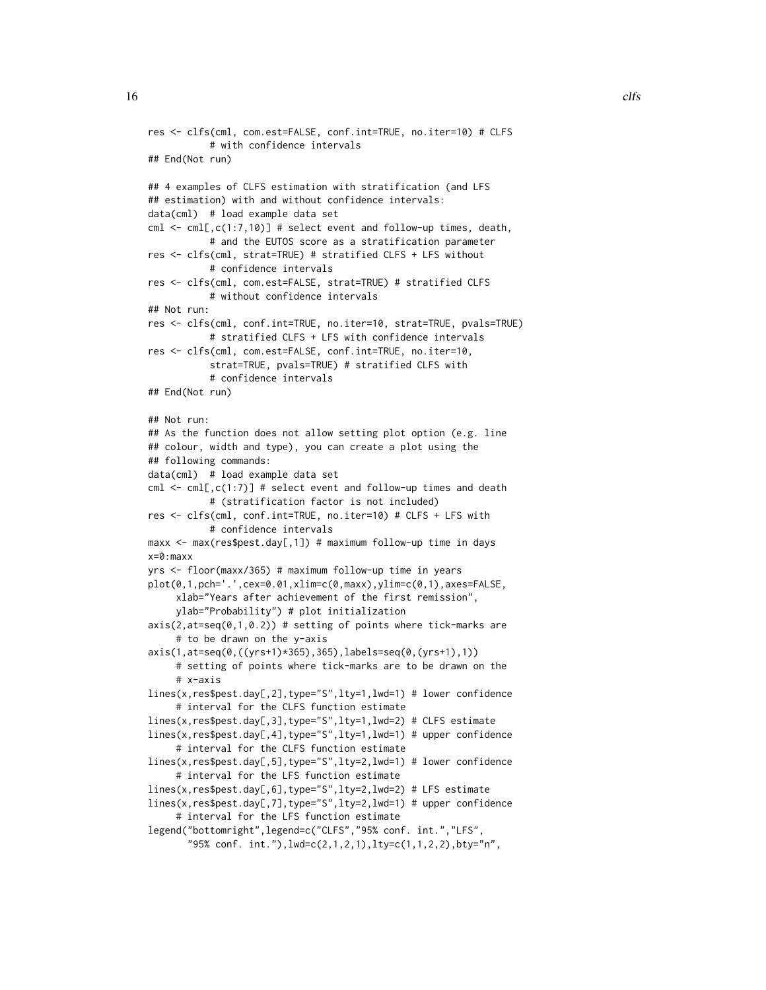```
res <- clfs(cml, com.est=FALSE, conf.int=TRUE, no.iter=10) # CLFS
           # with confidence intervals
## End(Not run)
## 4 examples of CLFS estimation with stratification (and LFS
## estimation) with and without confidence intervals:
data(cml) # load example data set
cml \le cml[,c(1:7,10)] # select event and follow-up times, death,
           # and the EUTOS score as a stratification parameter
res <- clfs(cml, strat=TRUE) # stratified CLFS + LFS without
           # confidence intervals
res <- clfs(cml, com.est=FALSE, strat=TRUE) # stratified CLFS
           # without confidence intervals
## Not run:
res <- clfs(cml, conf.int=TRUE, no.iter=10, strat=TRUE, pvals=TRUE)
           # stratified CLFS + LFS with confidence intervals
res <- clfs(cml, com.est=FALSE, conf.int=TRUE, no.iter=10,
           strat=TRUE, pvals=TRUE) # stratified CLFS with
           # confidence intervals
## End(Not run)
## Not run:
## As the function does not allow setting plot option (e.g. line
## colour, width and type), you can create a plot using the
## following commands:
data(cml) # load example data set
cml \leq cml[,c(1:7)] # select event and follow-up times and death
           # (stratification factor is not included)
res <- clfs(cml, conf.int=TRUE, no.iter=10) # CLFS + LFS with
           # confidence intervals
maxx <- max(res$pest.day[,1]) # maximum follow-up time in days
x=0:maxx
yrs <- floor(maxx/365) # maximum follow-up time in years
plot(0,1,pch='.',cex=0.01,xlim=c(0,maxx),ylim=c(0,1),axes=FALSE,
     xlab="Years after achievement of the first remission",
     ylab="Probability") # plot initialization
axis(2,at=seq(0,1,0.2)) # setting of points where tick-marks are
     # to be drawn on the y-axis
axis(1,at=seq(0,((yrs+1)*365),365),labels=seq(0,(yrs+1),1))
     # setting of points where tick-marks are to be drawn on the
     # x-axis
lines(x,res$pest.day[,2],type="S",lty=1,lwd=1) # lower confidence
     # interval for the CLFS function estimate
lines(x,res$pest.day[,3],type="S",lty=1,lwd=2) # CLFS estimate
lines(x,res$pest.day[,4],type="S",lty=1,lwd=1) # upper confidence
     # interval for the CLFS function estimate
lines(x,res$pest.day[,5],type="S",lty=2,lwd=1) # lower confidence
     # interval for the LFS function estimate
lines(x,res$pest.day[,6],type="S",lty=2,lwd=2) # LFS estimate
lines(x,res$pest.day[,7],type="S",lty=2,lwd=1) # upper confidence
     # interval for the LFS function estimate
legend("bottomright",legend=c("CLFS","95% conf. int.","LFS",
```
"95% conf. int."),lwd=c(2,1,2,1),lty=c(1,1,2,2),bty="n",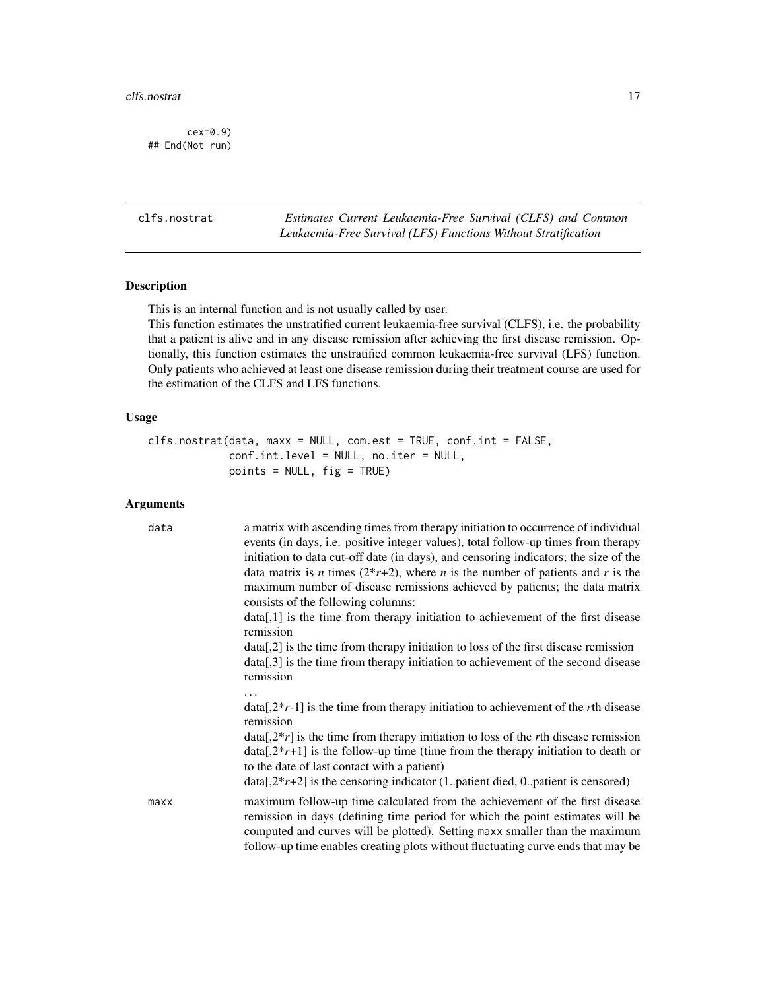#### <span id="page-16-0"></span>clfs.nostrat 17

cex=0.9) ## End(Not run)

clfs.nostrat *Estimates Current Leukaemia-Free Survival (CLFS) and Common Leukaemia-Free Survival (LFS) Functions Without Stratification*

# Description

This is an internal function and is not usually called by user.

This function estimates the unstratified current leukaemia-free survival (CLFS), i.e. the probability that a patient is alive and in any disease remission after achieving the first disease remission. Optionally, this function estimates the unstratified common leukaemia-free survival (LFS) function. Only patients who achieved at least one disease remission during their treatment course are used for the estimation of the CLFS and LFS functions.

# Usage

```
clfs.nostrat(data, maxx = NULL, com.est = TRUE, conf.int = FALSE,
             conf.int.level = NULL, no.iter = NULL,
             points = NULL, fig = TRUE)
```

| data | a matrix with ascending times from therapy initiation to occurrence of individual<br>events (in days, i.e. positive integer values), total follow-up times from therapy<br>initiation to data cut-off date (in days), and censoring indicators; the size of the<br>data matrix is <i>n</i> times $(2^*r+2)$ , where <i>n</i> is the number of patients and <i>r</i> is the<br>maximum number of disease remissions achieved by patients; the data matrix<br>consists of the following columns: |
|------|------------------------------------------------------------------------------------------------------------------------------------------------------------------------------------------------------------------------------------------------------------------------------------------------------------------------------------------------------------------------------------------------------------------------------------------------------------------------------------------------|
|      | data[,1] is the time from therapy initiation to achievement of the first disease<br>remission                                                                                                                                                                                                                                                                                                                                                                                                  |
|      | $data[2]$ is the time from therapy initiation to loss of the first disease remission<br>$data[,3]$ is the time from therapy initiation to achievement of the second disease<br>remission                                                                                                                                                                                                                                                                                                       |
|      | $data[2*r-1]$ is the time from therapy initiation to achievement of the rth disease<br>remission                                                                                                                                                                                                                                                                                                                                                                                               |
|      | $data[2*r]$ is the time from therapy initiation to loss of the rth disease remission<br>$data[2*r+1]$ is the follow-up time (time from the therapy initiation to death or<br>to the date of last contact with a patient)                                                                                                                                                                                                                                                                       |
|      | $data[2*r+2]$ is the censoring indicator (1patient died, 0patient is censored)                                                                                                                                                                                                                                                                                                                                                                                                                 |
| maxx | maximum follow-up time calculated from the achievement of the first disease<br>remission in days (defining time period for which the point estimates will be<br>computed and curves will be plotted). Setting maxx smaller than the maximum<br>follow-up time enables creating plots without fluctuating curve ends that may be                                                                                                                                                                |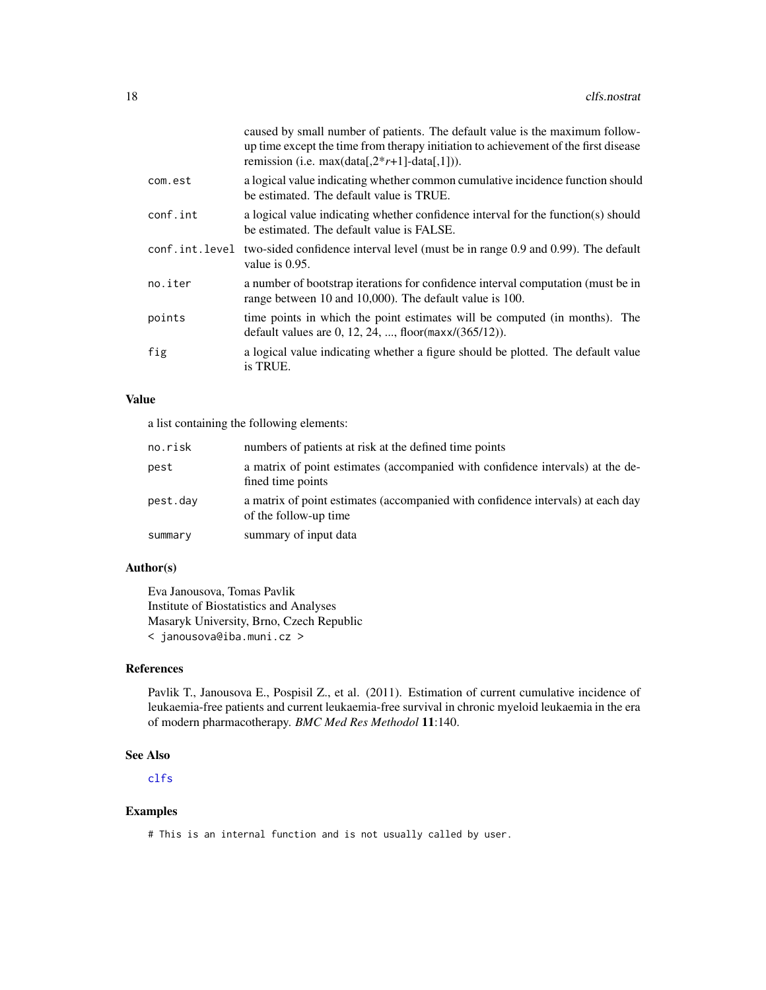<span id="page-17-0"></span>

|          | caused by small number of patients. The default value is the maximum follow-<br>up time except the time from therapy initiation to achievement of the first disease<br>remission (i.e. max(data[, $2*r+1$ ]-data[,1])). |
|----------|-------------------------------------------------------------------------------------------------------------------------------------------------------------------------------------------------------------------------|
| com.est  | a logical value indicating whether common cumulative incidence function should<br>be estimated. The default value is TRUE.                                                                                              |
| conf.int | a logical value indicating whether confidence interval for the function(s) should<br>be estimated. The default value is FALSE.                                                                                          |
|          | conf.int.level two-sided confidence interval level (must be in range 0.9 and 0.99). The default<br>value is $0.95$ .                                                                                                    |
| no.iter  | a number of bootstrap iterations for confidence interval computation (must be in<br>range between 10 and 10,000). The default value is 100.                                                                             |
| points   | time points in which the point estimates will be computed (in months). The<br>default values are 0, 12, 24, , floor( $max/(365/12)$ ).                                                                                  |
| fig      | a logical value indicating whether a figure should be plotted. The default value<br>is TRUE.                                                                                                                            |

# Value

a list containing the following elements:

| no.risk  | numbers of patients at risk at the defined time points                                                   |
|----------|----------------------------------------------------------------------------------------------------------|
| pest     | a matrix of point estimates (accompanied with confidence intervals) at the de-<br>fined time points      |
| pest.day | a matrix of point estimates (accompanied with confidence intervals) at each day<br>of the follow-up time |
| summary  | summary of input data                                                                                    |

# Author(s)

Eva Janousova, Tomas Pavlik Institute of Biostatistics and Analyses Masaryk University, Brno, Czech Republic < janousova@iba.muni.cz >

# References

Pavlik T., Janousova E., Pospisil Z., et al. (2011). Estimation of current cumulative incidence of leukaemia-free patients and current leukaemia-free survival in chronic myeloid leukaemia in the era of modern pharmacotherapy. *BMC Med Res Methodol* 11:140.

# See Also

[clfs](#page-12-1)

# Examples

# This is an internal function and is not usually called by user.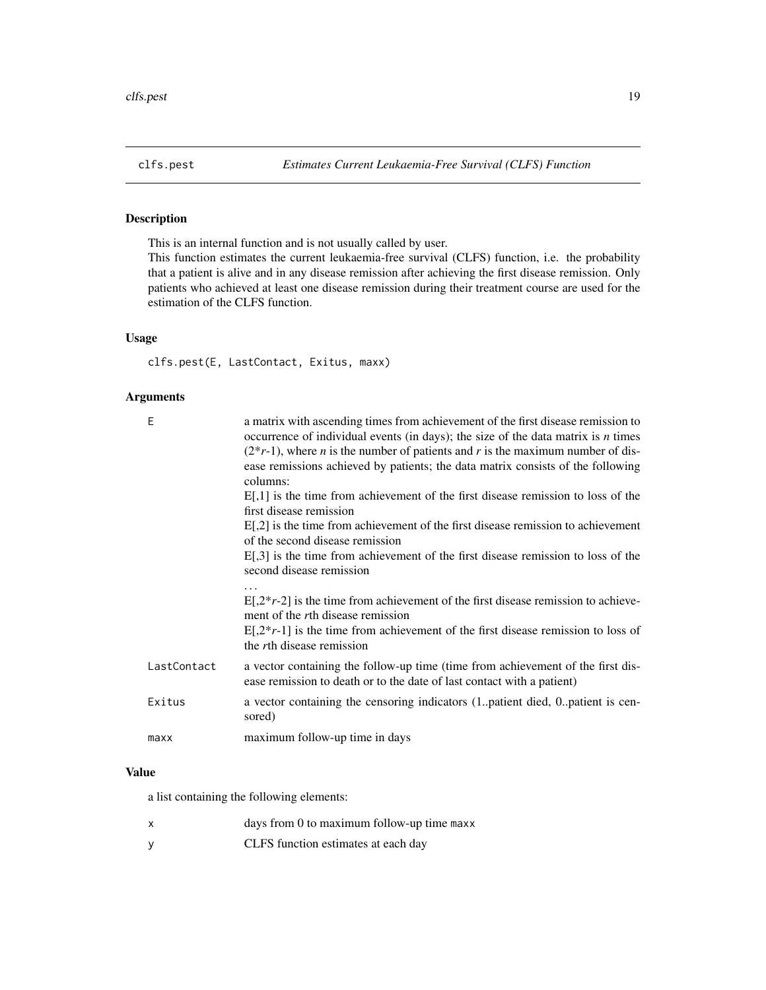<span id="page-18-0"></span>

# Description

This is an internal function and is not usually called by user.

This function estimates the current leukaemia-free survival (CLFS) function, i.e. the probability that a patient is alive and in any disease remission after achieving the first disease remission. Only patients who achieved at least one disease remission during their treatment course are used for the estimation of the CLFS function.

# Usage

clfs.pest(E, LastContact, Exitus, maxx)

#### Arguments

| E           | a matrix with ascending times from achievement of the first disease remission to<br>occurrence of individual events (in days); the size of the data matrix is $n$ times<br>$(2*r-1)$ , where <i>n</i> is the number of patients and <i>r</i> is the maximum number of dis-<br>ease remissions achieved by patients; the data matrix consists of the following<br>columns:<br>$E[,1]$ is the time from achievement of the first disease remission to loss of the |
|-------------|-----------------------------------------------------------------------------------------------------------------------------------------------------------------------------------------------------------------------------------------------------------------------------------------------------------------------------------------------------------------------------------------------------------------------------------------------------------------|
|             | first disease remission                                                                                                                                                                                                                                                                                                                                                                                                                                         |
|             | $E[0,2]$ is the time from achievement of the first disease remission to achievement<br>of the second disease remission                                                                                                                                                                                                                                                                                                                                          |
|             | $E[0,3]$ is the time from achievement of the first disease remission to loss of the<br>second disease remission                                                                                                                                                                                                                                                                                                                                                 |
|             | .                                                                                                                                                                                                                                                                                                                                                                                                                                                               |
|             | $E[2*r-2]$ is the time from achievement of the first disease remission to achieve-<br>ment of the rth disease remission                                                                                                                                                                                                                                                                                                                                         |
|             | $E[2*r-1]$ is the time from achievement of the first disease remission to loss of<br>the <i>r</i> th disease remission                                                                                                                                                                                                                                                                                                                                          |
| LastContact | a vector containing the follow-up time (time from achievement of the first dis-<br>ease remission to death or to the date of last contact with a patient)                                                                                                                                                                                                                                                                                                       |
| Exitus      | a vector containing the censoring indicators (1patient died, 0patient is cen-<br>sored)                                                                                                                                                                                                                                                                                                                                                                         |
| maxx        | maximum follow-up time in days                                                                                                                                                                                                                                                                                                                                                                                                                                  |
|             |                                                                                                                                                                                                                                                                                                                                                                                                                                                                 |

# Value

a list containing the following elements:

- x days from 0 to maximum follow-up time maxx
- y CLFS function estimates at each day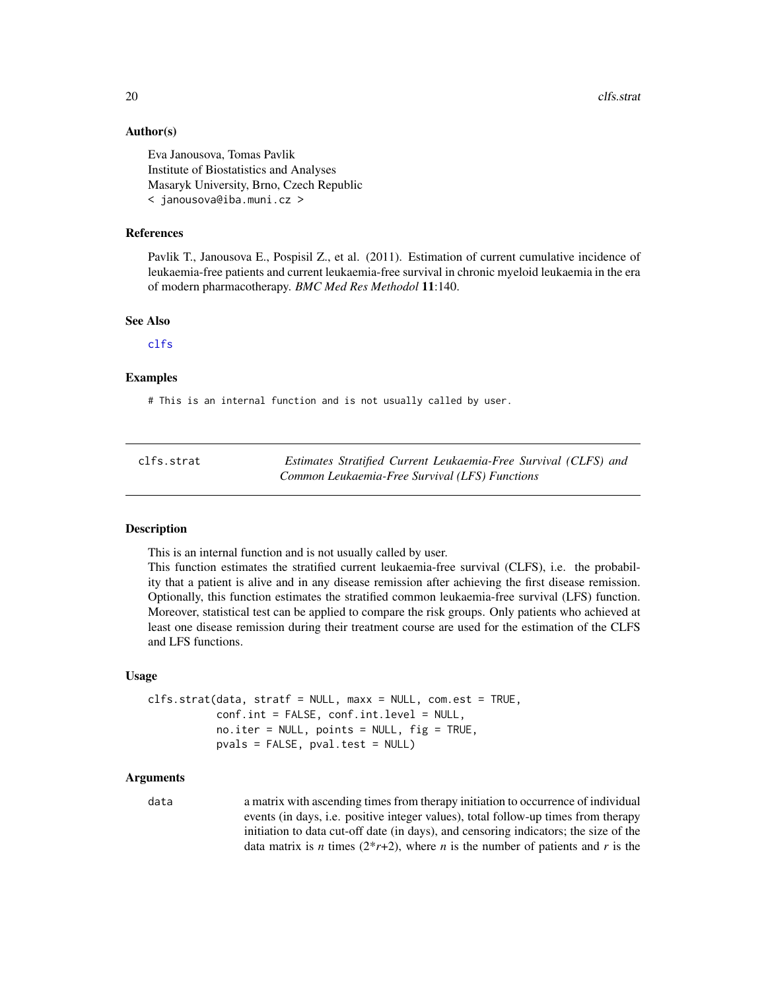20 clfs.strat

# Author(s)

Eva Janousova, Tomas Pavlik Institute of Biostatistics and Analyses Masaryk University, Brno, Czech Republic < janousova@iba.muni.cz >

# References

Pavlik T., Janousova E., Pospisil Z., et al. (2011). Estimation of current cumulative incidence of leukaemia-free patients and current leukaemia-free survival in chronic myeloid leukaemia in the era of modern pharmacotherapy. *BMC Med Res Methodol* 11:140.

#### See Also

[clfs](#page-12-1)

# Examples

# This is an internal function and is not usually called by user.

| clfs.strat | Estimates Stratified Current Leukaemia-Free Survival (CLFS) and |
|------------|-----------------------------------------------------------------|
|            | Common Leukaemia-Free Survival (LFS) Functions                  |

# **Description**

This is an internal function and is not usually called by user.

This function estimates the stratified current leukaemia-free survival (CLFS), i.e. the probability that a patient is alive and in any disease remission after achieving the first disease remission. Optionally, this function estimates the stratified common leukaemia-free survival (LFS) function. Moreover, statistical test can be applied to compare the risk groups. Only patients who achieved at least one disease remission during their treatment course are used for the estimation of the CLFS and LFS functions.

#### Usage

```
clfs.strat(data, stratf = NULL, maxx = NULL, com.est = TRUE,
           conf.int = FALSE, conf.int.level = NULL,
           no.iter = NULL, points = NULL, fig = TRUE,
           pvals = FALSE, pval.test = NULL)
```
# Arguments

data a matrix with ascending times from therapy initiation to occurrence of individual events (in days, i.e. positive integer values), total follow-up times from therapy initiation to data cut-off date (in days), and censoring indicators; the size of the data matrix is *n* times  $(2^*r+2)$ , where *n* is the number of patients and *r* is the

<span id="page-19-0"></span>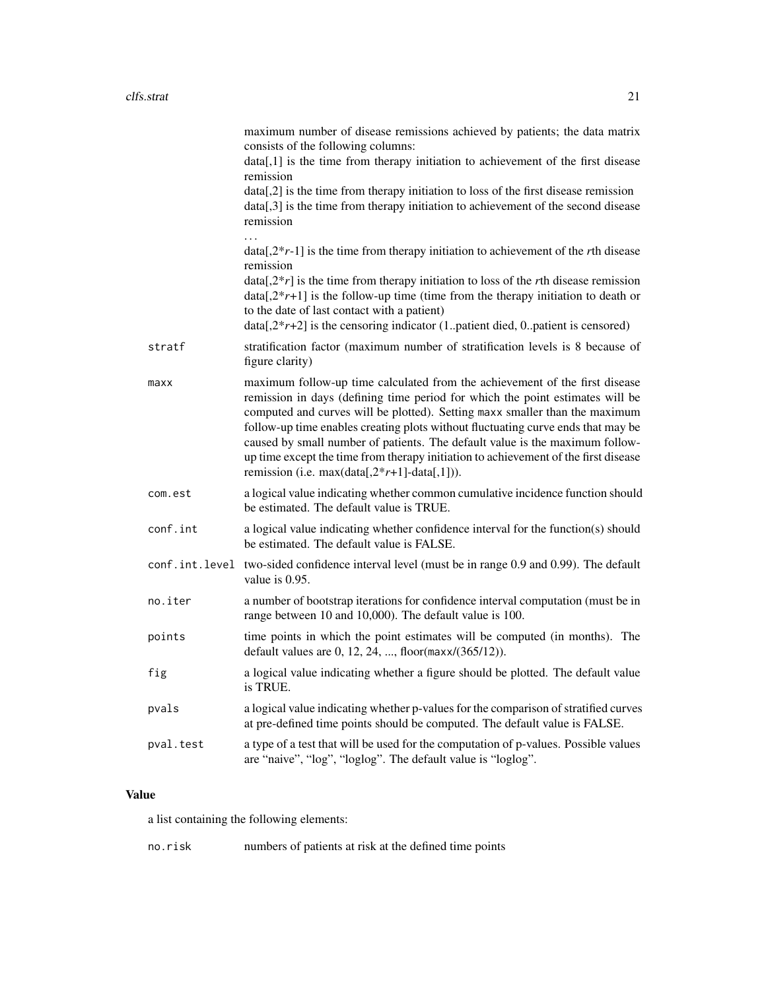|           | maximum number of disease remissions achieved by patients; the data matrix<br>consists of the following columns:<br>data[,1] is the time from therapy initiation to achievement of the first disease<br>remission<br>data[,2] is the time from therapy initiation to loss of the first disease remission<br>data[,3] is the time from therapy initiation to achievement of the second disease<br>remission                                                                                                                                                    |
|-----------|---------------------------------------------------------------------------------------------------------------------------------------------------------------------------------------------------------------------------------------------------------------------------------------------------------------------------------------------------------------------------------------------------------------------------------------------------------------------------------------------------------------------------------------------------------------|
|           | $data[2*r-1]$ is the time from therapy initiation to achievement of the rth disease<br>remission<br>$data[2*r]$ is the time from therapy initiation to loss of the rth disease remission<br>$data[.2*r+1]$ is the follow-up time (time from the therapy initiation to death or<br>to the date of last contact with a patient)<br>$data[2*r+2]$ is the censoring indicator (1patient died, 0patient is censored)                                                                                                                                               |
| stratf    | stratification factor (maximum number of stratification levels is 8 because of<br>figure clarity)                                                                                                                                                                                                                                                                                                                                                                                                                                                             |
| maxx      | maximum follow-up time calculated from the achievement of the first disease<br>remission in days (defining time period for which the point estimates will be<br>computed and curves will be plotted). Setting maxx smaller than the maximum<br>follow-up time enables creating plots without fluctuating curve ends that may be<br>caused by small number of patients. The default value is the maximum follow-<br>up time except the time from therapy initiation to achievement of the first disease<br>remission (i.e. $max(data[, 2*r+1] - data[, 1])$ ). |
| com.est   | a logical value indicating whether common cumulative incidence function should<br>be estimated. The default value is TRUE.                                                                                                                                                                                                                                                                                                                                                                                                                                    |
| conf.int  | a logical value indicating whether confidence interval for the function(s) should<br>be estimated. The default value is FALSE.                                                                                                                                                                                                                                                                                                                                                                                                                                |
|           | conf.int.level two-sided confidence interval level (must be in range 0.9 and 0.99). The default<br>value is 0.95.                                                                                                                                                                                                                                                                                                                                                                                                                                             |
| no.iter   | a number of bootstrap iterations for confidence interval computation (must be in<br>range between 10 and 10,000). The default value is 100.                                                                                                                                                                                                                                                                                                                                                                                                                   |
| points    | time points in which the point estimates will be computed (in months). The<br>default values are 0, 12, 24, , floor( $max/(365/12)$ ).                                                                                                                                                                                                                                                                                                                                                                                                                        |
| fig       | a logical value indicating whether a figure should be plotted. The default value<br>is TRUE.                                                                                                                                                                                                                                                                                                                                                                                                                                                                  |
| pvals     | a logical value indicating whether p-values for the comparison of stratified curves<br>at pre-defined time points should be computed. The default value is FALSE.                                                                                                                                                                                                                                                                                                                                                                                             |
| pval.test | a type of a test that will be used for the computation of p-values. Possible values<br>are "naive", "log", "loglog". The default value is "loglog".                                                                                                                                                                                                                                                                                                                                                                                                           |
|           |                                                                                                                                                                                                                                                                                                                                                                                                                                                                                                                                                               |

# Value

a list containing the following elements:

no.risk numbers of patients at risk at the defined time points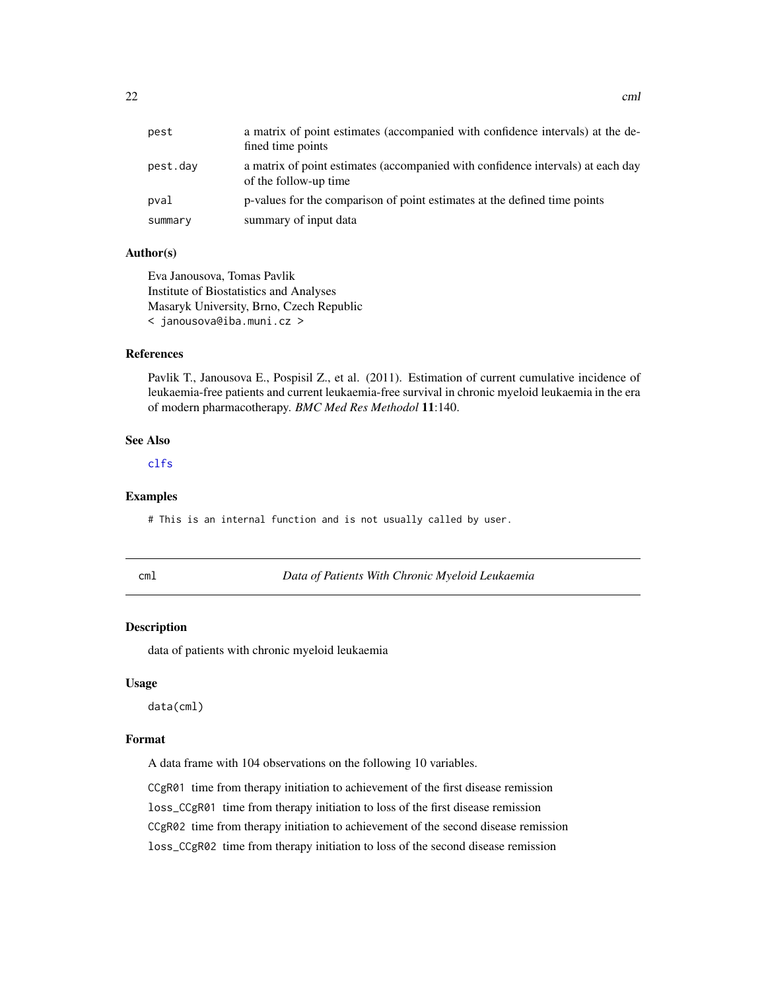<span id="page-21-0"></span>

| pest     | a matrix of point estimates (accompanied with confidence intervals) at the de-<br>fined time points      |
|----------|----------------------------------------------------------------------------------------------------------|
| pest.dav | a matrix of point estimates (accompanied with confidence intervals) at each day<br>of the follow-up time |
| pval     | p-values for the comparison of point estimates at the defined time points                                |
| summary  | summary of input data                                                                                    |

#### Author(s)

Eva Janousova, Tomas Pavlik Institute of Biostatistics and Analyses Masaryk University, Brno, Czech Republic < janousova@iba.muni.cz >

# References

Pavlik T., Janousova E., Pospisil Z., et al. (2011). Estimation of current cumulative incidence of leukaemia-free patients and current leukaemia-free survival in chronic myeloid leukaemia in the era of modern pharmacotherapy. *BMC Med Res Methodol* 11:140.

# See Also

[clfs](#page-12-1)

#### Examples

# This is an internal function and is not usually called by user.

cml *Data of Patients With Chronic Myeloid Leukaemia*

#### Description

data of patients with chronic myeloid leukaemia

#### Usage

data(cml)

#### Format

A data frame with 104 observations on the following 10 variables.

CCgR01 time from therapy initiation to achievement of the first disease remission loss\_CCgR01 time from therapy initiation to loss of the first disease remission CCgR02 time from therapy initiation to achievement of the second disease remission loss\_CCgR02 time from therapy initiation to loss of the second disease remission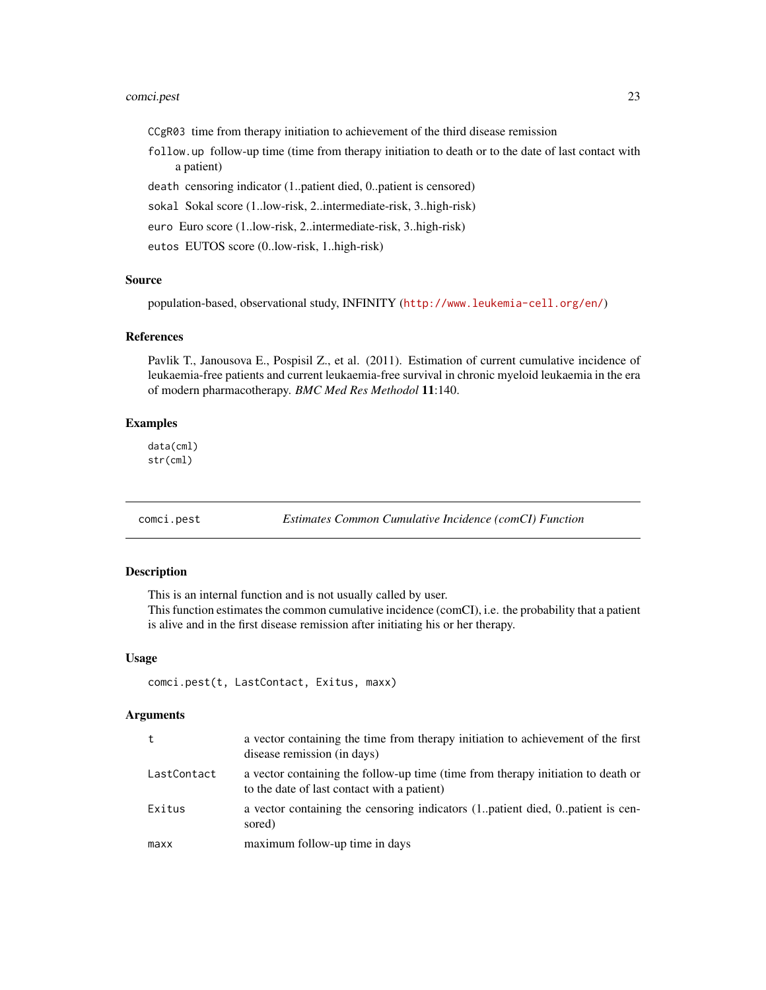# <span id="page-22-0"></span>comci.pest 23

CCgR03 time from therapy initiation to achievement of the third disease remission

follow.up follow-up time (time from therapy initiation to death or to the date of last contact with a patient)

death censoring indicator (1..patient died, 0..patient is censored)

sokal Sokal score (1..low-risk, 2..intermediate-risk, 3..high-risk)

euro Euro score (1..low-risk, 2..intermediate-risk, 3..high-risk)

eutos EUTOS score (0..low-risk, 1..high-risk)

#### Source

population-based, observational study, INFINITY (<http://www.leukemia-cell.org/en/>)

# References

Pavlik T., Janousova E., Pospisil Z., et al. (2011). Estimation of current cumulative incidence of leukaemia-free patients and current leukaemia-free survival in chronic myeloid leukaemia in the era of modern pharmacotherapy. *BMC Med Res Methodol* 11:140.

#### Examples

data(cml) str(cml)

comci.pest *Estimates Common Cumulative Incidence (comCI) Function*

#### Description

This is an internal function and is not usually called by user.

This function estimates the common cumulative incidence (comCI), i.e. the probability that a patient is alive and in the first disease remission after initiating his or her therapy.

#### Usage

comci.pest(t, LastContact, Exitus, maxx)

| t           | a vector containing the time from therapy initiation to achievement of the first<br>disease remission (in days)                 |
|-------------|---------------------------------------------------------------------------------------------------------------------------------|
| LastContact | a vector containing the follow-up time (time from therapy initiation to death or<br>to the date of last contact with a patient) |
| Exitus      | a vector containing the censoring indicators (1. patient died, 0. patient is cen-<br>sored)                                     |
| maxx        | maximum follow-up time in days                                                                                                  |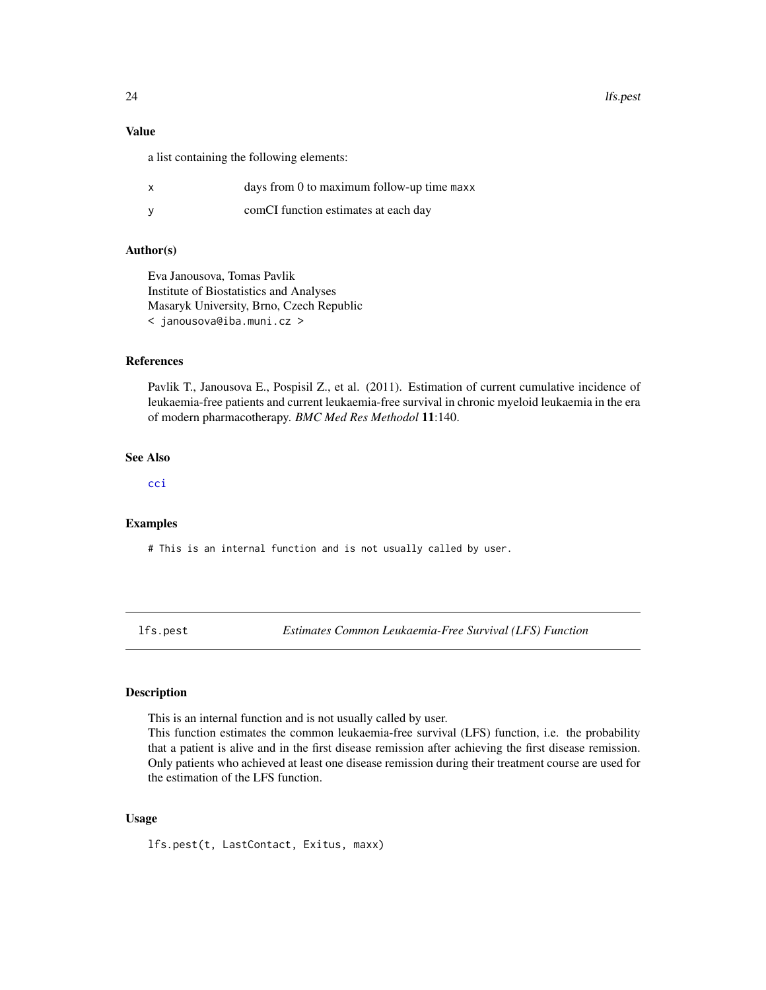24 lfs.pest

# Value

a list containing the following elements:

| x | days from 0 to maximum follow-up time maxx |
|---|--------------------------------------------|
|   | comCI function estimates at each day       |

#### Author(s)

Eva Janousova, Tomas Pavlik Institute of Biostatistics and Analyses Masaryk University, Brno, Czech Republic < janousova@iba.muni.cz >

# References

Pavlik T., Janousova E., Pospisil Z., et al. (2011). Estimation of current cumulative incidence of leukaemia-free patients and current leukaemia-free survival in chronic myeloid leukaemia in the era of modern pharmacotherapy. *BMC Med Res Methodol* 11:140.

# See Also

[cci](#page-1-1)

#### Examples

# This is an internal function and is not usually called by user.

lfs.pest *Estimates Common Leukaemia-Free Survival (LFS) Function*

# Description

This is an internal function and is not usually called by user.

This function estimates the common leukaemia-free survival (LFS) function, i.e. the probability that a patient is alive and in the first disease remission after achieving the first disease remission. Only patients who achieved at least one disease remission during their treatment course are used for the estimation of the LFS function.

# Usage

lfs.pest(t, LastContact, Exitus, maxx)

<span id="page-23-0"></span>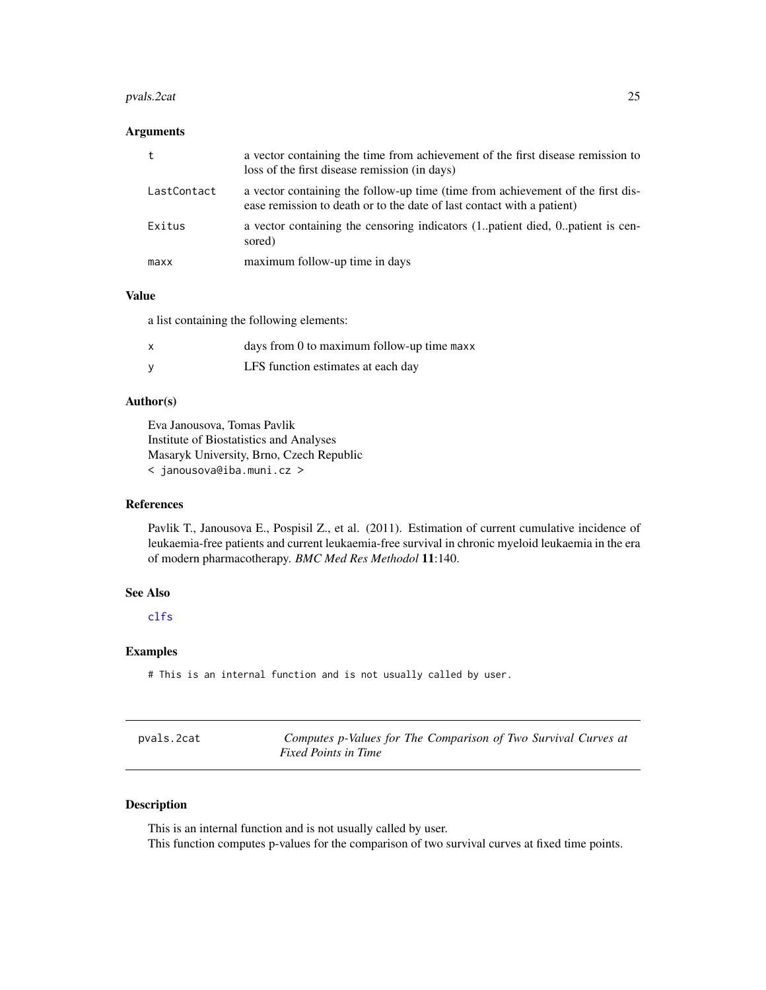#### <span id="page-24-0"></span>pvals.2cat 25

# Arguments

| t           | a vector containing the time from achievement of the first disease remission to<br>loss of the first disease remission (in days)                          |
|-------------|-----------------------------------------------------------------------------------------------------------------------------------------------------------|
| LastContact | a vector containing the follow-up time (time from achievement of the first dis-<br>ease remission to death or to the date of last contact with a patient) |
| Exitus      | a vector containing the censoring indicators (1. patient died, 0. patient is cen-<br>sored)                                                               |
| maxx        | maximum follow-up time in days                                                                                                                            |

# Value

a list containing the following elements:

| days from 0 to maximum follow-up time maxx |
|--------------------------------------------|
| LFS function estimates at each day         |

# Author(s)

Eva Janousova, Tomas Pavlik Institute of Biostatistics and Analyses Masaryk University, Brno, Czech Republic < janousova@iba.muni.cz >

#### References

Pavlik T., Janousova E., Pospisil Z., et al. (2011). Estimation of current cumulative incidence of leukaemia-free patients and current leukaemia-free survival in chronic myeloid leukaemia in the era of modern pharmacotherapy. *BMC Med Res Methodol* 11:140.

# See Also

[clfs](#page-12-1)

# Examples

# This is an internal function and is not usually called by user.

<span id="page-24-1"></span>

| pvals.2cat | Computes p-Values for The Comparison of Two Survival Curves at |
|------------|----------------------------------------------------------------|
|            | <i>Fixed Points in Time</i>                                    |

# Description

This is an internal function and is not usually called by user.

This function computes p-values for the comparison of two survival curves at fixed time points.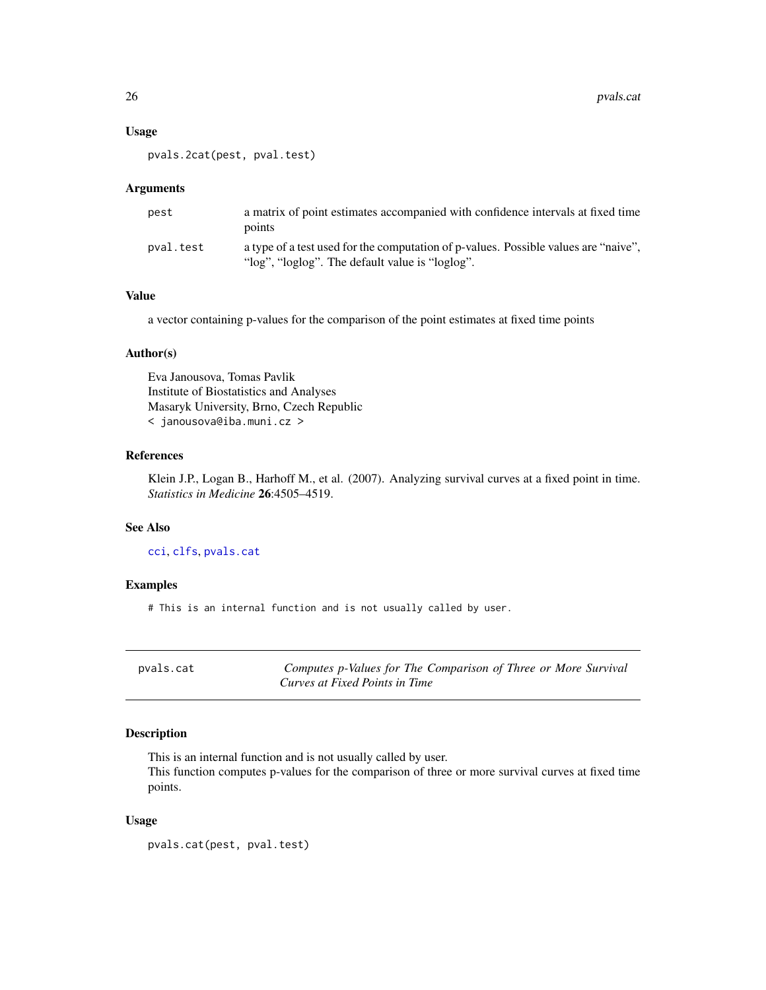# Usage

pvals.2cat(pest, pval.test)

# Arguments

| pest      | a matrix of point estimates accompanied with confidence intervals at fixed time<br>points                                              |
|-----------|----------------------------------------------------------------------------------------------------------------------------------------|
| pval.test | a type of a test used for the computation of p-values. Possible values are "naive".<br>"log", "loglog". The default value is "loglog". |

# Value

a vector containing p-values for the comparison of the point estimates at fixed time points

#### Author(s)

Eva Janousova, Tomas Pavlik Institute of Biostatistics and Analyses Masaryk University, Brno, Czech Republic < janousova@iba.muni.cz >

# References

Klein J.P., Logan B., Harhoff M., et al. (2007). Analyzing survival curves at a fixed point in time. *Statistics in Medicine* 26:4505–4519.

#### See Also

[cci](#page-1-1), [clfs](#page-12-1), [pvals.cat](#page-25-1)

# Examples

# This is an internal function and is not usually called by user.

<span id="page-25-1"></span>

| pvals.cat | Computes p-Values for The Comparison of Three or More Survival |
|-----------|----------------------------------------------------------------|
|           | Curves at Fixed Points in Time                                 |

#### Description

This is an internal function and is not usually called by user.

This function computes p-values for the comparison of three or more survival curves at fixed time points.

#### Usage

pvals.cat(pest, pval.test)

<span id="page-25-0"></span>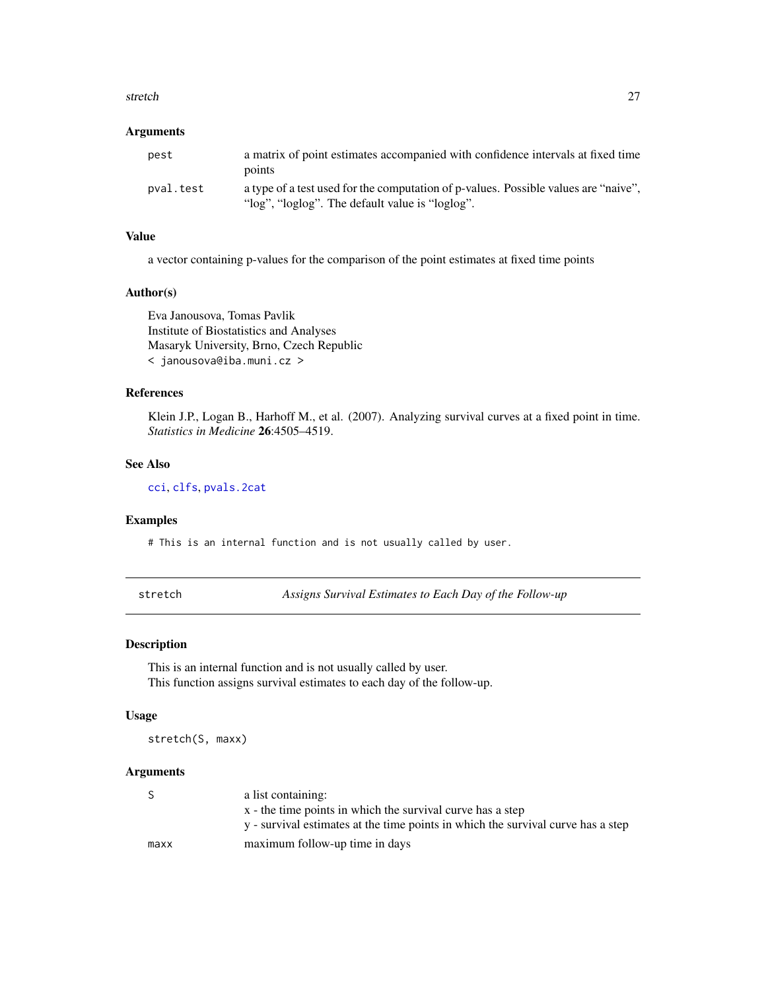#### <span id="page-26-0"></span>stretch 27

#### Arguments

| pest      | a matrix of point estimates accompanied with confidence intervals at fixed time<br>points                                              |
|-----------|----------------------------------------------------------------------------------------------------------------------------------------|
| pval.test | a type of a test used for the computation of p-values. Possible values are "naive",<br>"log", "loglog". The default value is "loglog". |

# Value

a vector containing p-values for the comparison of the point estimates at fixed time points

#### Author(s)

Eva Janousova, Tomas Pavlik Institute of Biostatistics and Analyses Masaryk University, Brno, Czech Republic < janousova@iba.muni.cz >

# References

Klein J.P., Logan B., Harhoff M., et al. (2007). Analyzing survival curves at a fixed point in time. *Statistics in Medicine* 26:4505–4519.

# See Also

[cci](#page-1-1), [clfs](#page-12-1), [pvals.2cat](#page-24-1)

#### Examples

# This is an internal function and is not usually called by user.

stretch *Assigns Survival Estimates to Each Day of the Follow-up*

#### Description

This is an internal function and is not usually called by user. This function assigns survival estimates to each day of the follow-up.

#### Usage

stretch(S, maxx)

| S.   | a list containing:                                                               |
|------|----------------------------------------------------------------------------------|
|      | x - the time points in which the survival curve has a step                       |
|      | y - survival estimates at the time points in which the survival curve has a step |
| maxx | maximum follow-up time in days                                                   |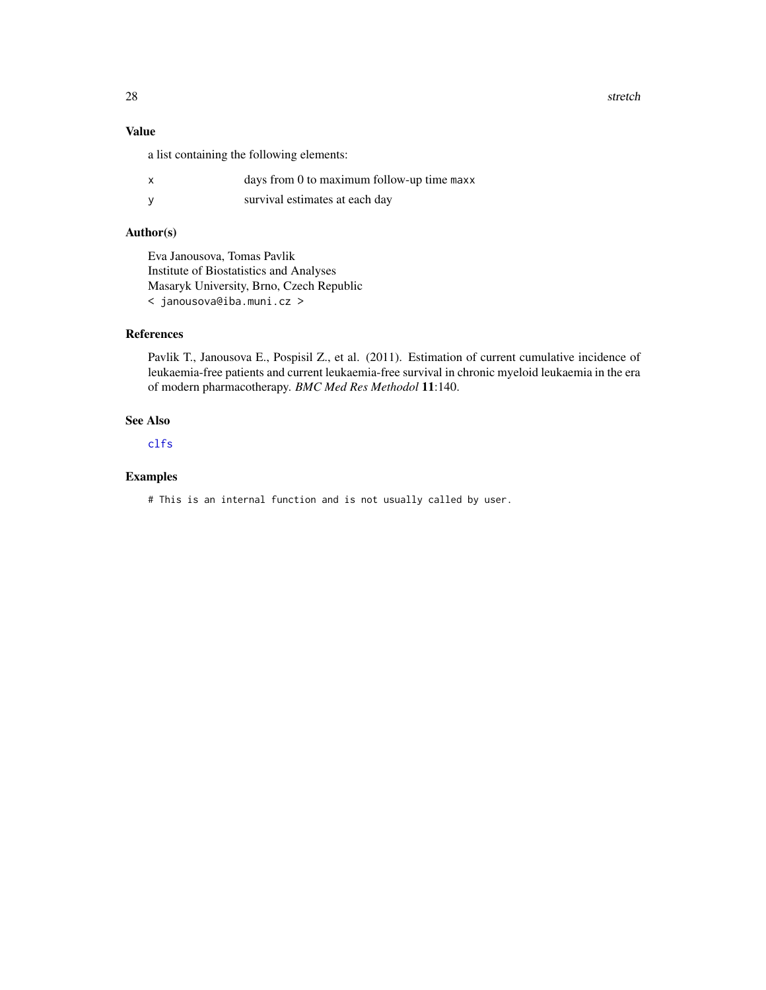28 stretch and the contract of the contract of the contract of the contract of the contract of the contract of the contract of the contract of the contract of the contract of the contract of the contract of the contract of

# Value

a list containing the following elements:

|  | days from 0 to maximum follow-up time maxx |  |  |
|--|--------------------------------------------|--|--|
|  |                                            |  |  |

y survival estimates at each day

# Author(s)

Eva Janousova, Tomas Pavlik Institute of Biostatistics and Analyses Masaryk University, Brno, Czech Republic < janousova@iba.muni.cz >

# References

Pavlik T., Janousova E., Pospisil Z., et al. (2011). Estimation of current cumulative incidence of leukaemia-free patients and current leukaemia-free survival in chronic myeloid leukaemia in the era of modern pharmacotherapy. *BMC Med Res Methodol* 11:140.

# See Also

[clfs](#page-12-1)

# Examples

# This is an internal function and is not usually called by user.

<span id="page-27-0"></span>